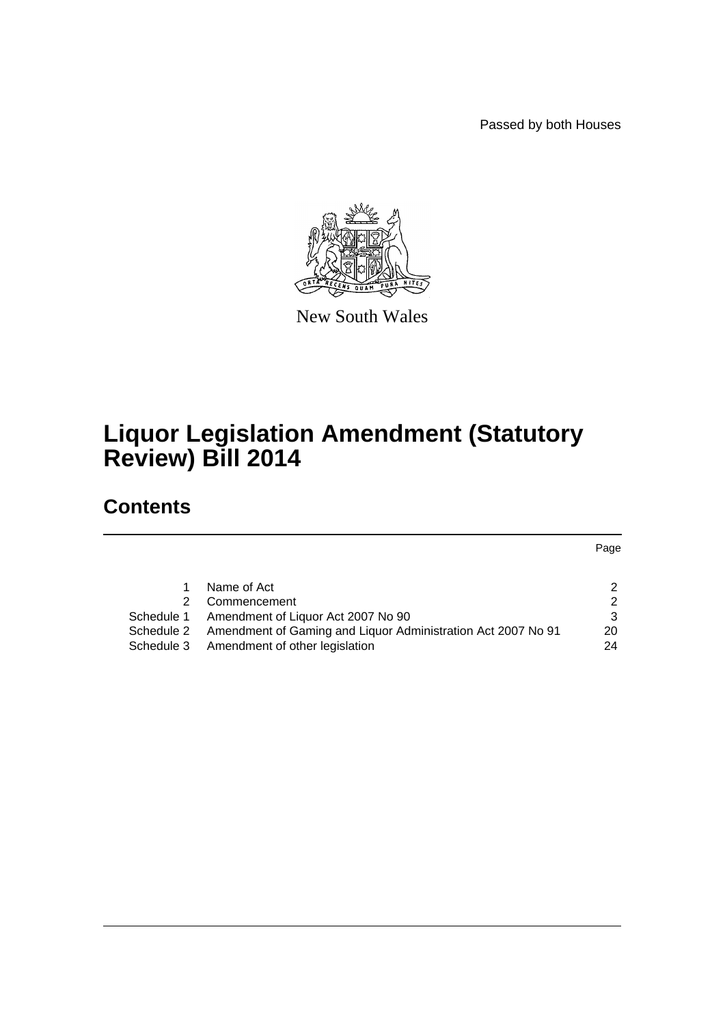Passed by both Houses



New South Wales

# **Liquor Legislation Amendment (Statutory Review) Bill 2014**

# **Contents**

Page

| 2                                                                             |
|-------------------------------------------------------------------------------|
| 2                                                                             |
| -3                                                                            |
| 20<br>Schedule 2 Amendment of Gaming and Liquor Administration Act 2007 No 91 |
| 24                                                                            |
|                                                                               |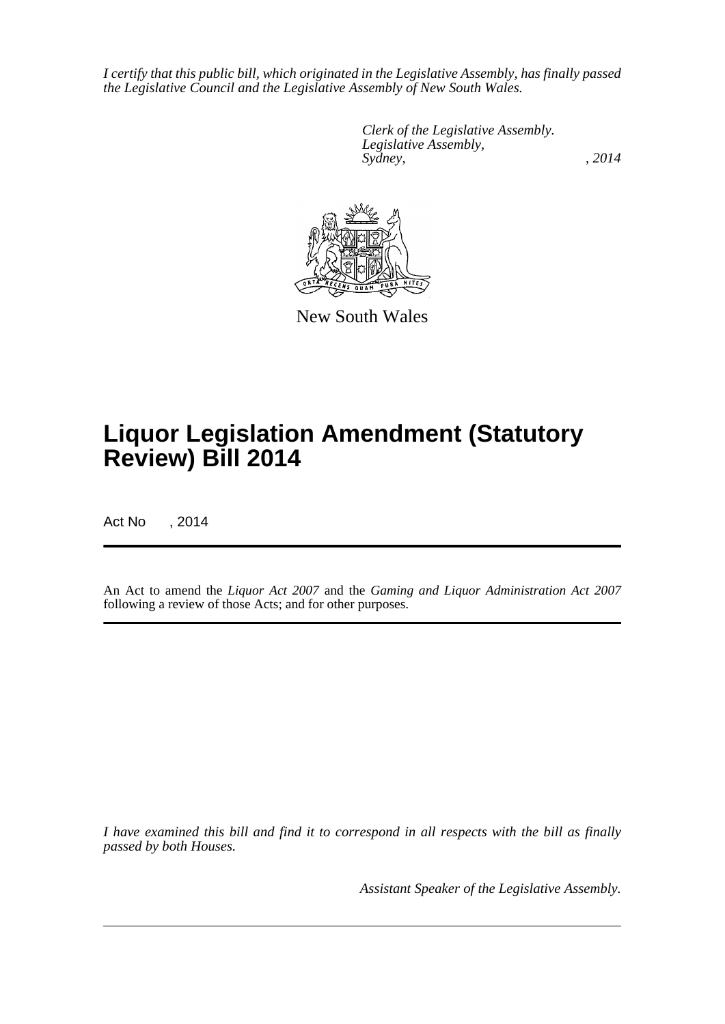*I certify that this public bill, which originated in the Legislative Assembly, has finally passed the Legislative Council and the Legislative Assembly of New South Wales.*

> *Clerk of the Legislative Assembly. Legislative Assembly, Sydney,* , 2014



New South Wales

# **Liquor Legislation Amendment (Statutory Review) Bill 2014**

Act No , 2014

An Act to amend the *Liquor Act 2007* and the *Gaming and Liquor Administration Act 2007* following a review of those Acts; and for other purposes.

*I have examined this bill and find it to correspond in all respects with the bill as finally passed by both Houses.*

*Assistant Speaker of the Legislative Assembly.*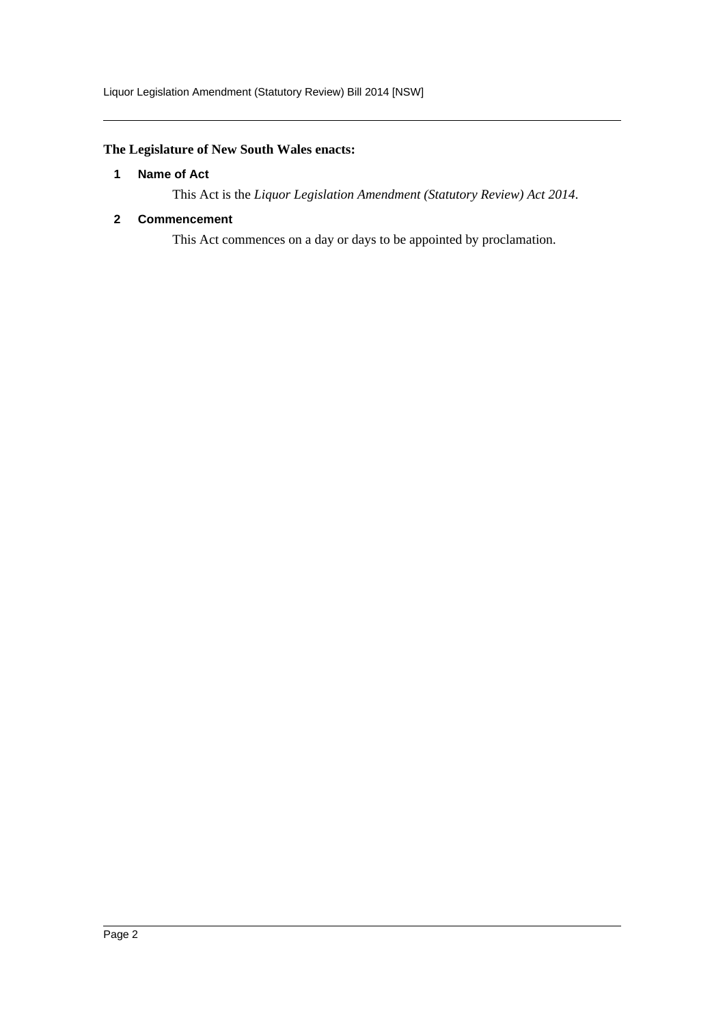Liquor Legislation Amendment (Statutory Review) Bill 2014 [NSW]

# <span id="page-2-0"></span>**The Legislature of New South Wales enacts:**

### **1 Name of Act**

This Act is the *Liquor Legislation Amendment (Statutory Review) Act 2014*.

# <span id="page-2-1"></span>**2 Commencement**

This Act commences on a day or days to be appointed by proclamation.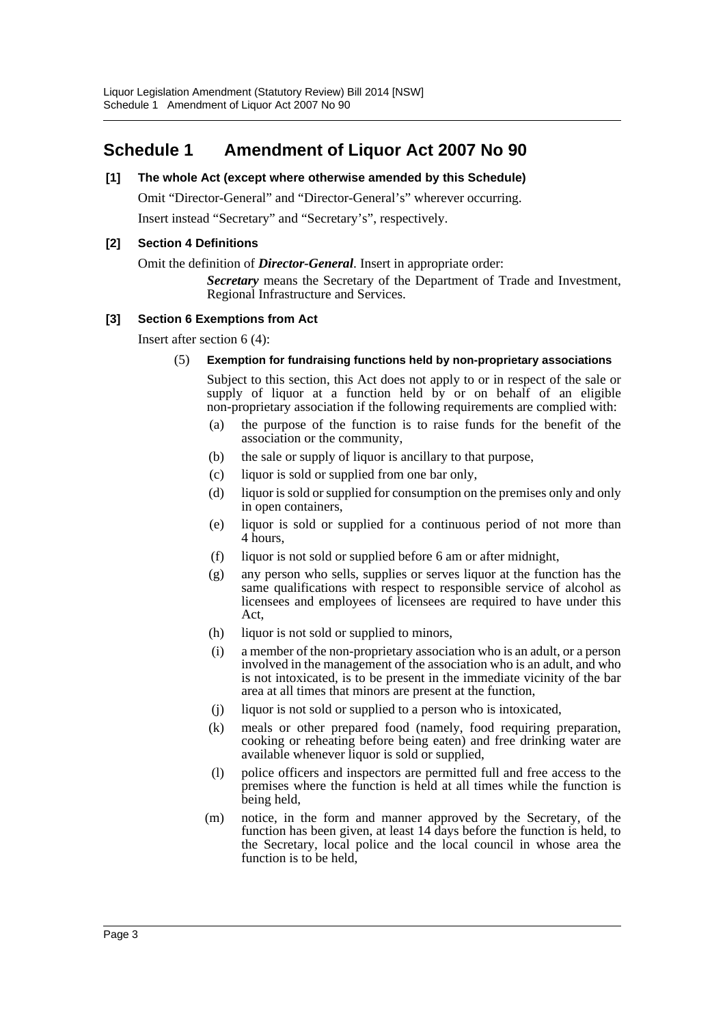# <span id="page-3-0"></span>**Schedule 1 Amendment of Liquor Act 2007 No 90**

# **[1] The whole Act (except where otherwise amended by this Schedule)**

Omit "Director-General" and "Director-General's" wherever occurring.

Insert instead "Secretary" and "Secretary's", respectively.

#### **[2] Section 4 Definitions**

Omit the definition of *Director-General*. Insert in appropriate order:

*Secretary* means the Secretary of the Department of Trade and Investment, Regional Infrastructure and Services.

#### **[3] Section 6 Exemptions from Act**

Insert after section 6 (4):

(5) **Exemption for fundraising functions held by non-proprietary associations**

Subject to this section, this Act does not apply to or in respect of the sale or supply of liquor at a function held by or on behalf of an eligible non-proprietary association if the following requirements are complied with:

- (a) the purpose of the function is to raise funds for the benefit of the association or the community,
- (b) the sale or supply of liquor is ancillary to that purpose,
- (c) liquor is sold or supplied from one bar only,
- (d) liquor is sold or supplied for consumption on the premises only and only in open containers,
- (e) liquor is sold or supplied for a continuous period of not more than 4 hours,
- (f) liquor is not sold or supplied before 6 am or after midnight,
- (g) any person who sells, supplies or serves liquor at the function has the same qualifications with respect to responsible service of alcohol as licensees and employees of licensees are required to have under this Act,
- (h) liquor is not sold or supplied to minors,
- (i) a member of the non-proprietary association who is an adult, or a person involved in the management of the association who is an adult, and who is not intoxicated, is to be present in the immediate vicinity of the bar area at all times that minors are present at the function,
- (j) liquor is not sold or supplied to a person who is intoxicated,
- (k) meals or other prepared food (namely, food requiring preparation, cooking or reheating before being eaten) and free drinking water are available whenever liquor is sold or supplied,
- (l) police officers and inspectors are permitted full and free access to the premises where the function is held at all times while the function is being held,
- (m) notice, in the form and manner approved by the Secretary, of the function has been given, at least 14 days before the function is held, to the Secretary, local police and the local council in whose area the function is to be held,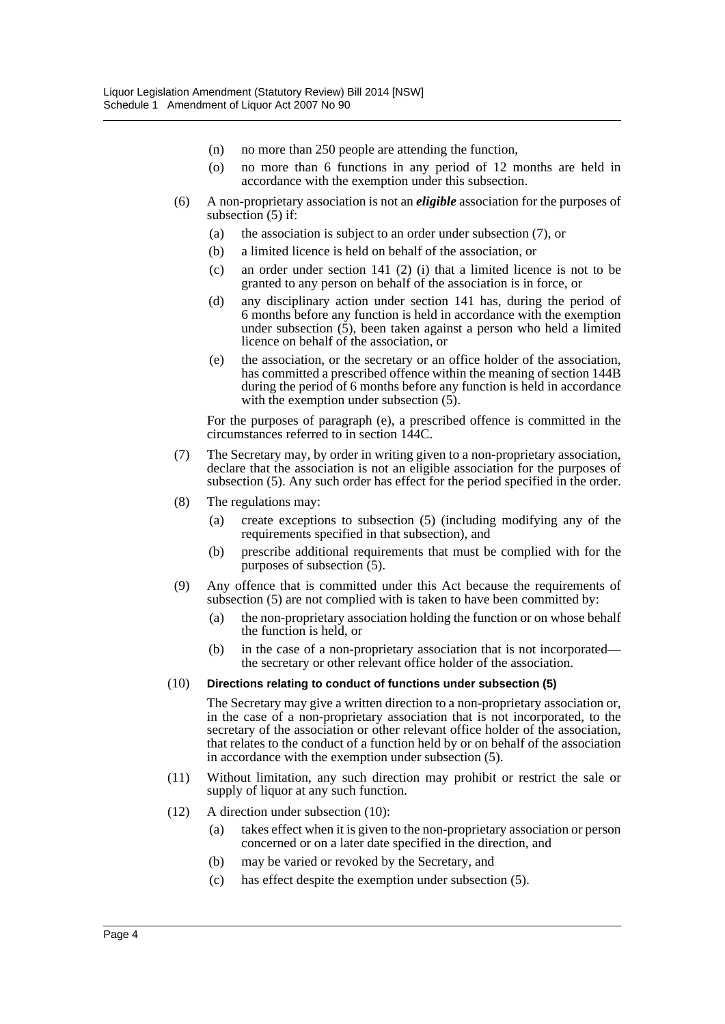- (n) no more than 250 people are attending the function,
- (o) no more than 6 functions in any period of 12 months are held in accordance with the exemption under this subsection.
- (6) A non-proprietary association is not an *eligible* association for the purposes of subsection  $(5)$  if:
	- (a) the association is subject to an order under subsection (7), or
	- (b) a limited licence is held on behalf of the association, or
	- (c) an order under section 141 (2) (i) that a limited licence is not to be granted to any person on behalf of the association is in force, or
	- (d) any disciplinary action under section 141 has, during the period of 6 months before any function is held in accordance with the exemption under subsection  $(5)$ , been taken against a person who held a limited licence on behalf of the association, or
	- (e) the association, or the secretary or an office holder of the association, has committed a prescribed offence within the meaning of section 144B during the period of 6 months before any function is held in accordance with the exemption under subsection  $(5)$ .

For the purposes of paragraph (e), a prescribed offence is committed in the circumstances referred to in section 144C.

- (7) The Secretary may, by order in writing given to a non-proprietary association, declare that the association is not an eligible association for the purposes of subsection (5). Any such order has effect for the period specified in the order.
- (8) The regulations may:
	- (a) create exceptions to subsection (5) (including modifying any of the requirements specified in that subsection), and
	- (b) prescribe additional requirements that must be complied with for the purposes of subsection  $(5)$ .
- (9) Any offence that is committed under this Act because the requirements of subsection (5) are not complied with is taken to have been committed by:
	- (a) the non-proprietary association holding the function or on whose behalf the function is held, or
	- (b) in the case of a non-proprietary association that is not incorporated the secretary or other relevant office holder of the association.

#### (10) **Directions relating to conduct of functions under subsection (5)**

The Secretary may give a written direction to a non-proprietary association or, in the case of a non-proprietary association that is not incorporated, to the secretary of the association or other relevant office holder of the association, that relates to the conduct of a function held by or on behalf of the association in accordance with the exemption under subsection (5).

- (11) Without limitation, any such direction may prohibit or restrict the sale or supply of liquor at any such function.
- (12) A direction under subsection (10):
	- (a) takes effect when it is given to the non-proprietary association or person concerned or on a later date specified in the direction, and
	- (b) may be varied or revoked by the Secretary, and
	- (c) has effect despite the exemption under subsection (5).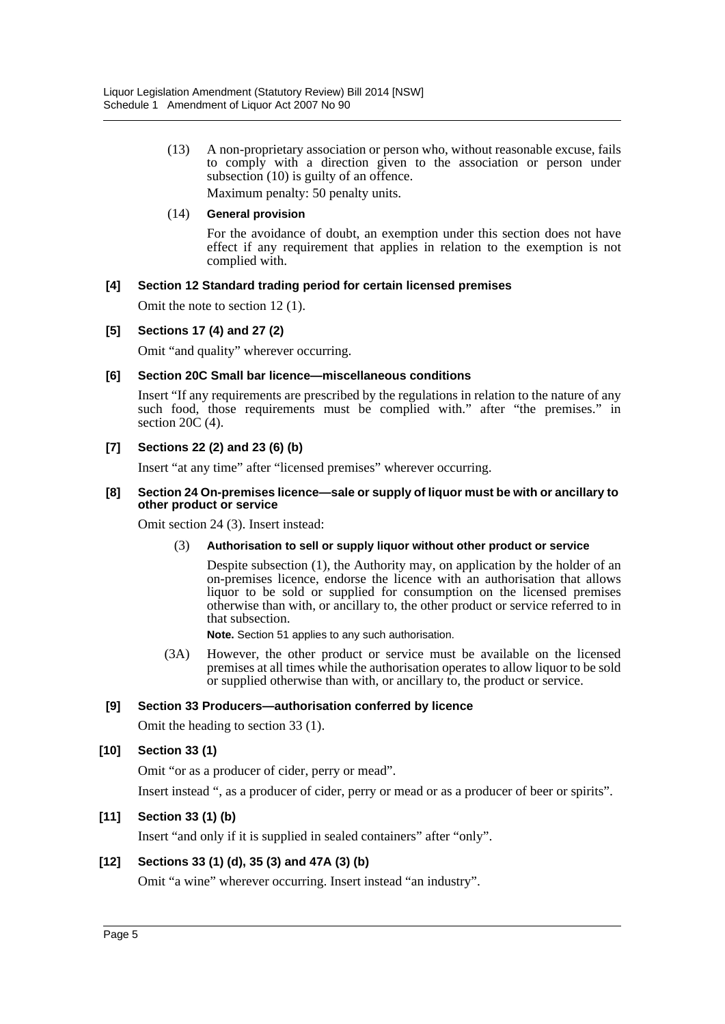(13) A non-proprietary association or person who, without reasonable excuse, fails to comply with a direction given to the association or person under subsection (10) is guilty of an offence.

Maximum penalty: 50 penalty units.

#### (14) **General provision**

For the avoidance of doubt, an exemption under this section does not have effect if any requirement that applies in relation to the exemption is not complied with.

### **[4] Section 12 Standard trading period for certain licensed premises**

Omit the note to section 12 (1).

### **[5] Sections 17 (4) and 27 (2)**

Omit "and quality" wherever occurring.

#### **[6] Section 20C Small bar licence—miscellaneous conditions**

Insert "If any requirements are prescribed by the regulations in relation to the nature of any such food, those requirements must be complied with." after "the premises." in section 20C (4).

### **[7] Sections 22 (2) and 23 (6) (b)**

Insert "at any time" after "licensed premises" wherever occurring.

#### **[8] Section 24 On-premises licence—sale or supply of liquor must be with or ancillary to other product or service**

Omit section 24 (3). Insert instead:

#### (3) **Authorisation to sell or supply liquor without other product or service**

Despite subsection (1), the Authority may, on application by the holder of an on-premises licence, endorse the licence with an authorisation that allows liquor to be sold or supplied for consumption on the licensed premises otherwise than with, or ancillary to, the other product or service referred to in that subsection.

**Note.** Section 51 applies to any such authorisation.

(3A) However, the other product or service must be available on the licensed premises at all times while the authorisation operates to allow liquor to be sold or supplied otherwise than with, or ancillary to, the product or service.

#### **[9] Section 33 Producers—authorisation conferred by licence**

Omit the heading to section 33 (1).

# **[10] Section 33 (1)**

Omit "or as a producer of cider, perry or mead".

Insert instead ", as a producer of cider, perry or mead or as a producer of beer or spirits".

# **[11] Section 33 (1) (b)**

Insert "and only if it is supplied in sealed containers" after "only".

# **[12] Sections 33 (1) (d), 35 (3) and 47A (3) (b)**

Omit "a wine" wherever occurring. Insert instead "an industry".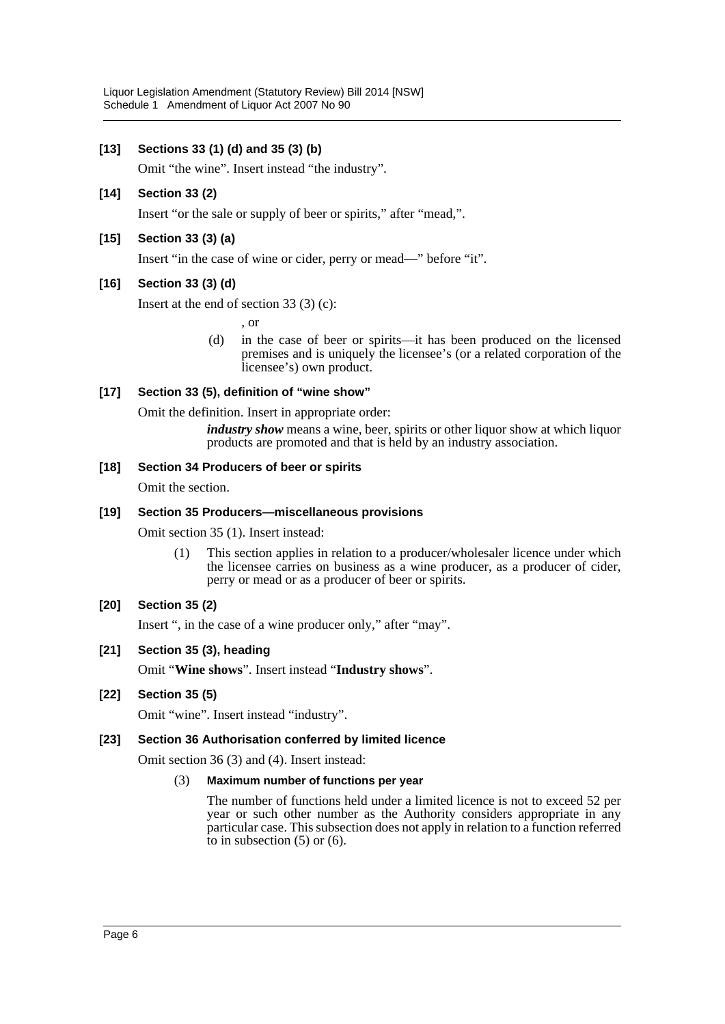# **[13] Sections 33 (1) (d) and 35 (3) (b)**

Omit "the wine". Insert instead "the industry".

#### **[14] Section 33 (2)**

Insert "or the sale or supply of beer or spirits," after "mead,".

### **[15] Section 33 (3) (a)**

Insert "in the case of wine or cider, perry or mead—" before "it".

#### **[16] Section 33 (3) (d)**

Insert at the end of section 33 (3) (c):

, or

(d) in the case of beer or spirits—it has been produced on the licensed premises and is uniquely the licensee's (or a related corporation of the licensee's) own product.

### **[17] Section 33 (5), definition of "wine show"**

Omit the definition. Insert in appropriate order:

*industry show* means a wine, beer, spirits or other liquor show at which liquor products are promoted and that is held by an industry association.

#### **[18] Section 34 Producers of beer or spirits**

Omit the section.

#### **[19] Section 35 Producers—miscellaneous provisions**

Omit section 35 (1). Insert instead:

(1) This section applies in relation to a producer/wholesaler licence under which the licensee carries on business as a wine producer, as a producer of cider, perry or mead or as a producer of beer or spirits.

# **[20] Section 35 (2)**

Insert ", in the case of a wine producer only," after "may".

#### **[21] Section 35 (3), heading**

Omit "**Wine shows**". Insert instead "**Industry shows**".

#### **[22] Section 35 (5)**

Omit "wine". Insert instead "industry".

#### **[23] Section 36 Authorisation conferred by limited licence**

Omit section 36 (3) and (4). Insert instead:

#### (3) **Maximum number of functions per year**

The number of functions held under a limited licence is not to exceed 52 per year or such other number as the Authority considers appropriate in any particular case. This subsection does not apply in relation to a function referred to in subsection  $(5)$  or  $(6)$ .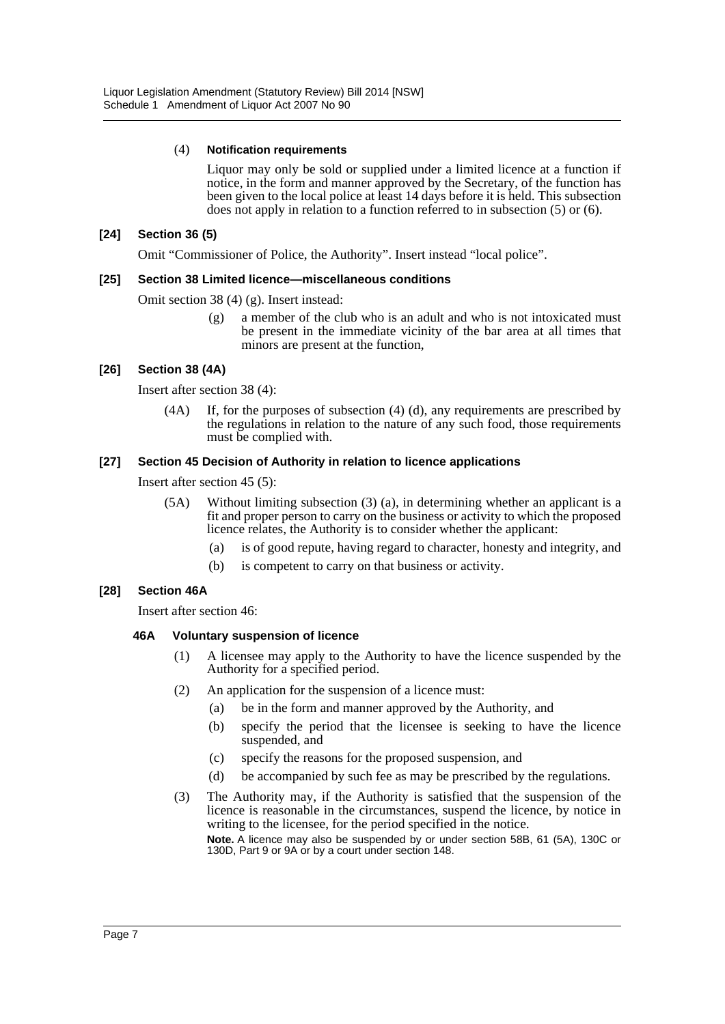#### (4) **Notification requirements**

Liquor may only be sold or supplied under a limited licence at a function if notice, in the form and manner approved by the Secretary, of the function has been given to the local police at least 14 days before it is held. This subsection does not apply in relation to a function referred to in subsection (5) or (6).

#### **[24] Section 36 (5)**

Omit "Commissioner of Police, the Authority". Insert instead "local police".

### **[25] Section 38 Limited licence—miscellaneous conditions**

Omit section 38 (4) (g). Insert instead:

(g) a member of the club who is an adult and who is not intoxicated must be present in the immediate vicinity of the bar area at all times that minors are present at the function,

### **[26] Section 38 (4A)**

Insert after section 38 (4):

(4A) If, for the purposes of subsection (4) (d), any requirements are prescribed by the regulations in relation to the nature of any such food, those requirements must be complied with.

#### **[27] Section 45 Decision of Authority in relation to licence applications**

Insert after section 45 (5):

- (5A) Without limiting subsection (3) (a), in determining whether an applicant is a fit and proper person to carry on the business or activity to which the proposed licence relates, the Authority is to consider whether the applicant:
	- (a) is of good repute, having regard to character, honesty and integrity, and
	- (b) is competent to carry on that business or activity.

#### **[28] Section 46A**

Insert after section 46:

#### **46A Voluntary suspension of licence**

- (1) A licensee may apply to the Authority to have the licence suspended by the Authority for a specified period.
- (2) An application for the suspension of a licence must:
	- (a) be in the form and manner approved by the Authority, and
	- (b) specify the period that the licensee is seeking to have the licence suspended, and
	- (c) specify the reasons for the proposed suspension, and
	- (d) be accompanied by such fee as may be prescribed by the regulations.
- (3) The Authority may, if the Authority is satisfied that the suspension of the licence is reasonable in the circumstances, suspend the licence, by notice in writing to the licensee, for the period specified in the notice.

**Note.** A licence may also be suspended by or under section 58B, 61 (5A), 130C or 130D, Part 9 or 9A or by a court under section 148.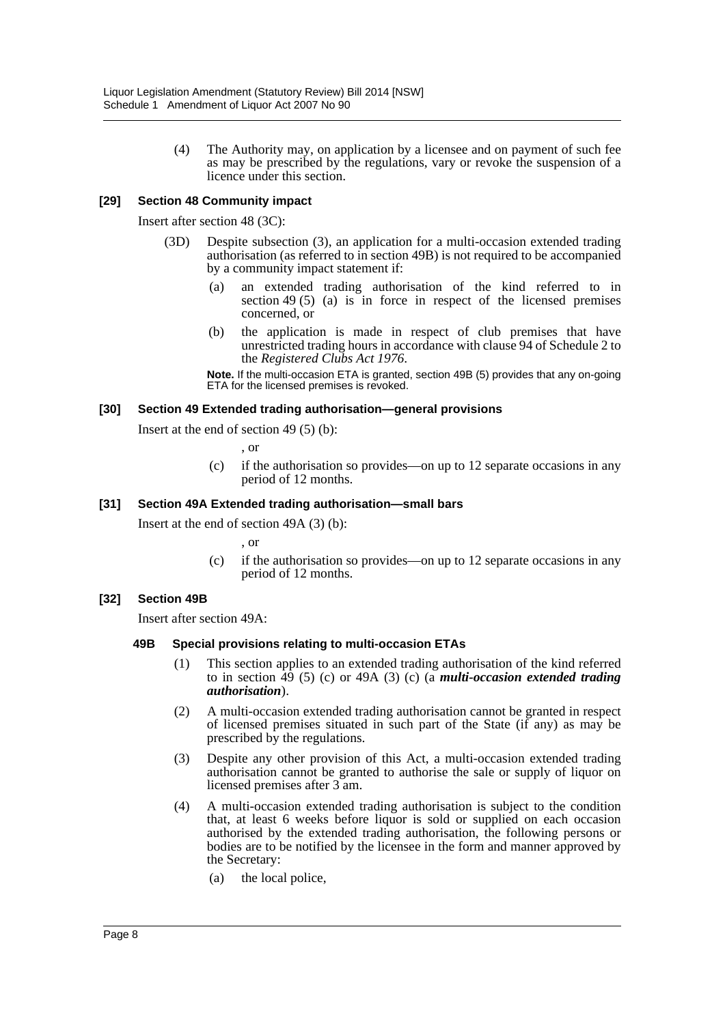(4) The Authority may, on application by a licensee and on payment of such fee as may be prescribed by the regulations, vary or revoke the suspension of a licence under this section.

### **[29] Section 48 Community impact**

Insert after section 48 (3C):

- (3D) Despite subsection (3), an application for a multi-occasion extended trading authorisation (as referred to in section 49B) is not required to be accompanied by a community impact statement if:
	- (a) an extended trading authorisation of the kind referred to in section 49 (5) (a) is in force in respect of the licensed premises concerned, or
	- (b) the application is made in respect of club premises that have unrestricted trading hours in accordance with clause 94 of Schedule 2 to the *Registered Clubs Act 1976*.

**Note.** If the multi-occasion ETA is granted, section 49B (5) provides that any on-going ETA for the licensed premises is revoked.

#### **[30] Section 49 Extended trading authorisation—general provisions**

Insert at the end of section 49 (5) (b):

, or

(c) if the authorisation so provides—on up to 12 separate occasions in any period of 12 months.

#### **[31] Section 49A Extended trading authorisation—small bars**

Insert at the end of section 49A (3) (b):

, or

(c) if the authorisation so provides—on up to 12 separate occasions in any period of 12 months.

#### **[32] Section 49B**

Insert after section 49A:

#### **49B Special provisions relating to multi-occasion ETAs**

- (1) This section applies to an extended trading authorisation of the kind referred to in section 49 (5) (c) or 49A (3) (c) (a *multi-occasion extended trading authorisation*).
- (2) A multi-occasion extended trading authorisation cannot be granted in respect of licensed premises situated in such part of the State (if any) as may be prescribed by the regulations.
- (3) Despite any other provision of this Act, a multi-occasion extended trading authorisation cannot be granted to authorise the sale or supply of liquor on licensed premises after 3 am.
- (4) A multi-occasion extended trading authorisation is subject to the condition that, at least 6 weeks before liquor is sold or supplied on each occasion authorised by the extended trading authorisation, the following persons or bodies are to be notified by the licensee in the form and manner approved by the Secretary:
	- (a) the local police,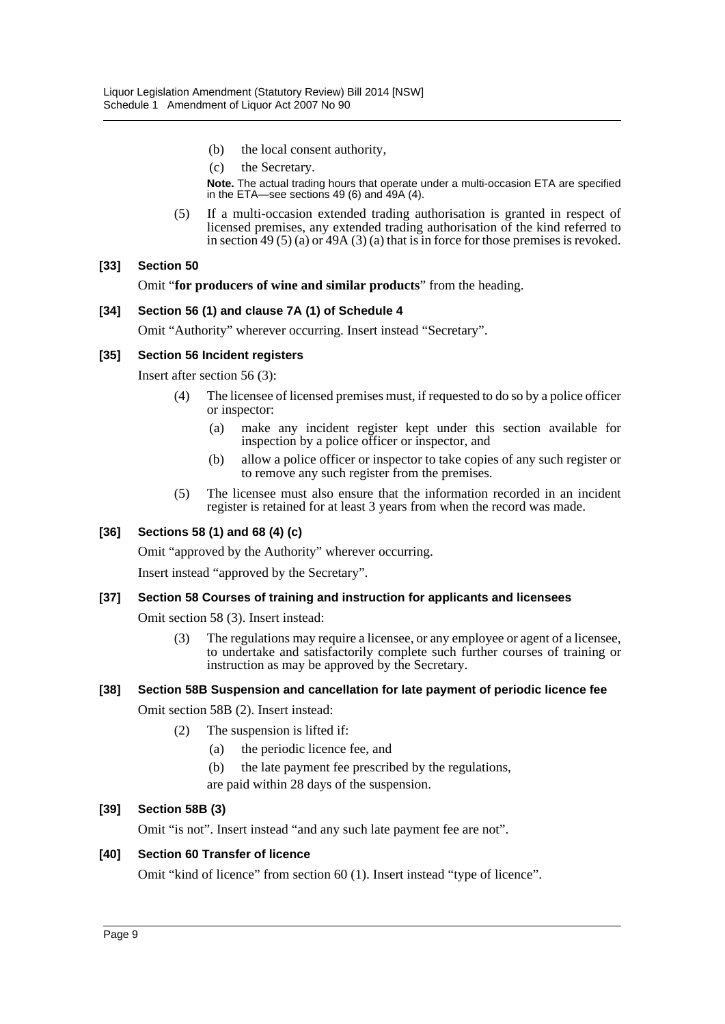- (b) the local consent authority,
- (c) the Secretary.

**Note.** The actual trading hours that operate under a multi-occasion ETA are specified in the ETA—see sections 49 (6) and 49A (4).

(5) If a multi-occasion extended trading authorisation is granted in respect of licensed premises, any extended trading authorisation of the kind referred to in section 49 (5) (a) or 49A (3) (a) that is in force for those premises is revoked.

#### **[33] Section 50**

Omit "**for producers of wine and similar products**" from the heading.

#### **[34] Section 56 (1) and clause 7A (1) of Schedule 4**

Omit "Authority" wherever occurring. Insert instead "Secretary".

#### **[35] Section 56 Incident registers**

Insert after section 56 (3):

- (4) The licensee of licensed premises must, if requested to do so by a police officer or inspector:
	- (a) make any incident register kept under this section available for inspection by a police officer or inspector, and
	- (b) allow a police officer or inspector to take copies of any such register or to remove any such register from the premises.
- (5) The licensee must also ensure that the information recorded in an incident register is retained for at least 3 years from when the record was made.

# **[36] Sections 58 (1) and 68 (4) (c)**

Omit "approved by the Authority" wherever occurring.

Insert instead "approved by the Secretary".

#### **[37] Section 58 Courses of training and instruction for applicants and licensees**

Omit section 58 (3). Insert instead:

(3) The regulations may require a licensee, or any employee or agent of a licensee, to undertake and satisfactorily complete such further courses of training or instruction as may be approved by the Secretary.

#### **[38] Section 58B Suspension and cancellation for late payment of periodic licence fee**

Omit section 58B (2). Insert instead:

- (2) The suspension is lifted if:
	- (a) the periodic licence fee, and
	- (b) the late payment fee prescribed by the regulations,
	- are paid within 28 days of the suspension.

#### **[39] Section 58B (3)**

Omit "is not". Insert instead "and any such late payment fee are not".

#### **[40] Section 60 Transfer of licence**

Omit "kind of licence" from section 60 (1). Insert instead "type of licence".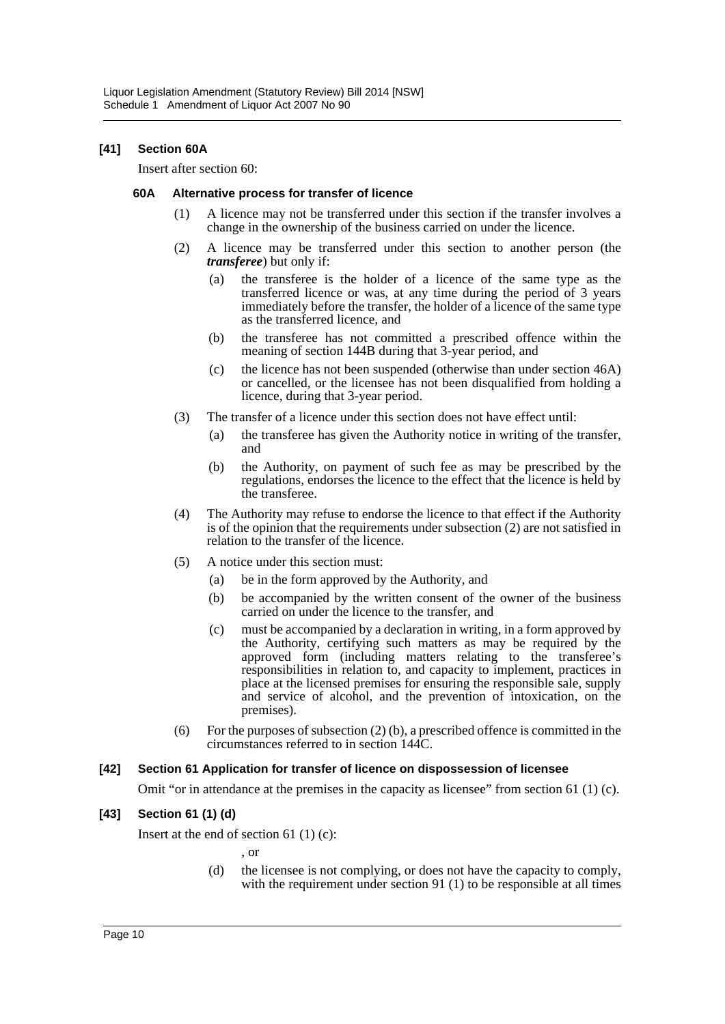### **[41] Section 60A**

Insert after section 60:

#### **60A Alternative process for transfer of licence**

- (1) A licence may not be transferred under this section if the transfer involves a change in the ownership of the business carried on under the licence.
- (2) A licence may be transferred under this section to another person (the *transferee*) but only if:
	- (a) the transferee is the holder of a licence of the same type as the transferred licence or was, at any time during the period of 3 years immediately before the transfer, the holder of a licence of the same type as the transferred licence, and
	- (b) the transferee has not committed a prescribed offence within the meaning of section 144B during that 3-year period, and
	- (c) the licence has not been suspended (otherwise than under section 46A) or cancelled, or the licensee has not been disqualified from holding a licence, during that 3-year period.
- (3) The transfer of a licence under this section does not have effect until:
	- (a) the transferee has given the Authority notice in writing of the transfer, and
	- (b) the Authority, on payment of such fee as may be prescribed by the regulations, endorses the licence to the effect that the licence is held by the transferee.
- (4) The Authority may refuse to endorse the licence to that effect if the Authority is of the opinion that the requirements under subsection (2) are not satisfied in relation to the transfer of the licence.
- (5) A notice under this section must:
	- (a) be in the form approved by the Authority, and
	- (b) be accompanied by the written consent of the owner of the business carried on under the licence to the transfer, and
	- (c) must be accompanied by a declaration in writing, in a form approved by the Authority, certifying such matters as may be required by the approved form (including matters relating to the transferee's responsibilities in relation to, and capacity to implement, practices in place at the licensed premises for ensuring the responsible sale, supply and service of alcohol, and the prevention of intoxication, on the premises).
- (6) For the purposes of subsection (2) (b), a prescribed offence is committed in the circumstances referred to in section 144C.

#### **[42] Section 61 Application for transfer of licence on dispossession of licensee**

Omit "or in attendance at the premises in the capacity as licensee" from section 61 (1) (c).

#### **[43] Section 61 (1) (d)**

Insert at the end of section 61 $(1)(c)$ :

, or

(d) the licensee is not complying, or does not have the capacity to comply, with the requirement under section 91 (1) to be responsible at all times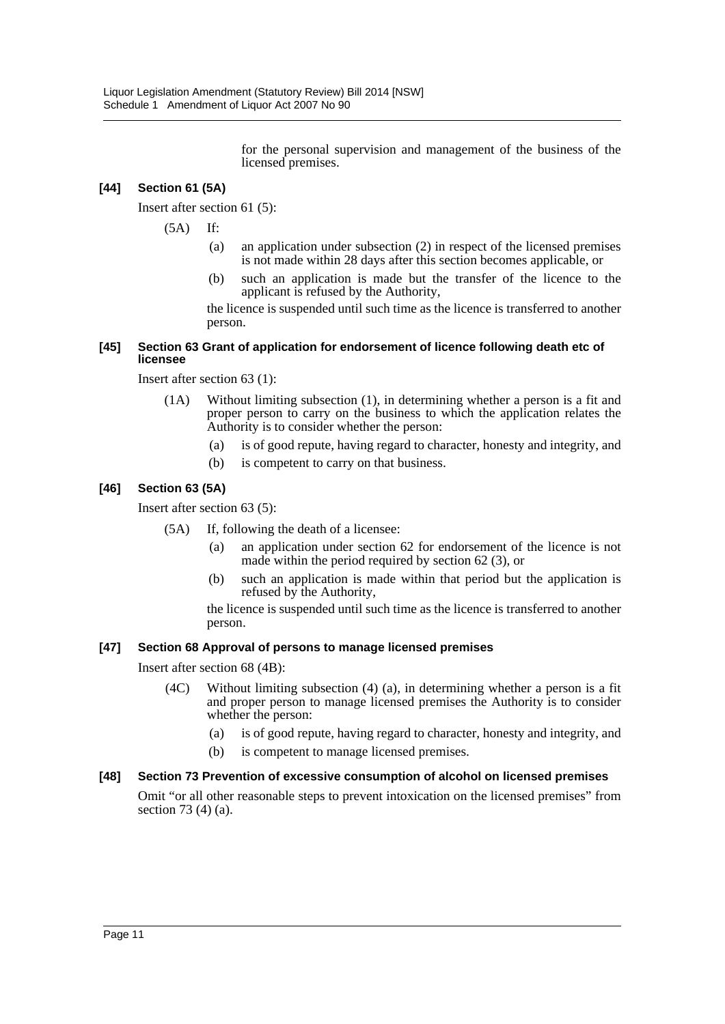for the personal supervision and management of the business of the licensed premises.

# **[44] Section 61 (5A)**

Insert after section 61 (5):

(5A) If:

- (a) an application under subsection (2) in respect of the licensed premises is not made within 28 days after this section becomes applicable, or
- (b) such an application is made but the transfer of the licence to the applicant is refused by the Authority,

the licence is suspended until such time as the licence is transferred to another person.

#### **[45] Section 63 Grant of application for endorsement of licence following death etc of licensee**

Insert after section 63 (1):

- (1A) Without limiting subsection (1), in determining whether a person is a fit and proper person to carry on the business to which the application relates the Authority is to consider whether the person:
	- (a) is of good repute, having regard to character, honesty and integrity, and
	- (b) is competent to carry on that business.

# **[46] Section 63 (5A)**

Insert after section 63 (5):

- (5A) If, following the death of a licensee:
	- (a) an application under section 62 for endorsement of the licence is not made within the period required by section 62 (3), or
	- (b) such an application is made within that period but the application is refused by the Authority,

the licence is suspended until such time as the licence is transferred to another person.

#### **[47] Section 68 Approval of persons to manage licensed premises**

Insert after section 68 (4B):

- (4C) Without limiting subsection (4) (a), in determining whether a person is a fit and proper person to manage licensed premises the Authority is to consider whether the person:
	- (a) is of good repute, having regard to character, honesty and integrity, and
	- (b) is competent to manage licensed premises.

#### **[48] Section 73 Prevention of excessive consumption of alcohol on licensed premises**

Omit "or all other reasonable steps to prevent intoxication on the licensed premises" from section 73 (4) (a).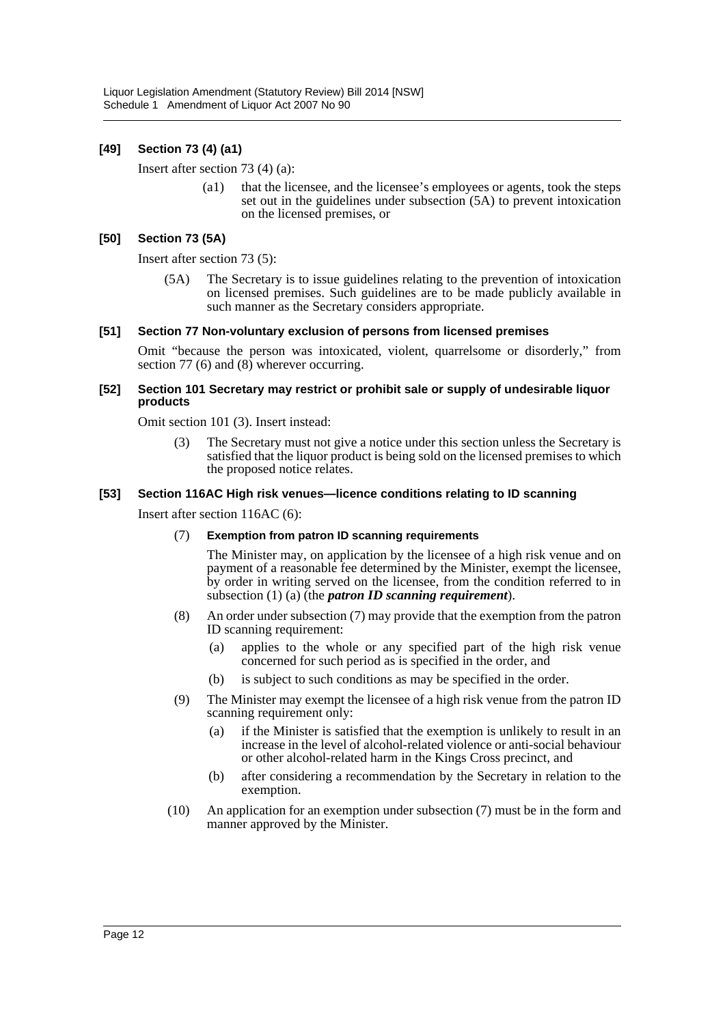# **[49] Section 73 (4) (a1)**

Insert after section 73 (4) (a):

(a1) that the licensee, and the licensee's employees or agents, took the steps set out in the guidelines under subsection (5A) to prevent intoxication on the licensed premises, or

#### **[50] Section 73 (5A)**

Insert after section 73 (5):

(5A) The Secretary is to issue guidelines relating to the prevention of intoxication on licensed premises. Such guidelines are to be made publicly available in such manner as the Secretary considers appropriate.

#### **[51] Section 77 Non-voluntary exclusion of persons from licensed premises**

Omit "because the person was intoxicated, violent, quarrelsome or disorderly," from section 77 (6) and  $(8)$  wherever occurring.

#### **[52] Section 101 Secretary may restrict or prohibit sale or supply of undesirable liquor products**

Omit section 101 (3). Insert instead:

(3) The Secretary must not give a notice under this section unless the Secretary is satisfied that the liquor product is being sold on the licensed premises to which the proposed notice relates.

#### **[53] Section 116AC High risk venues—licence conditions relating to ID scanning**

Insert after section 116AC (6):

(7) **Exemption from patron ID scanning requirements**

The Minister may, on application by the licensee of a high risk venue and on payment of a reasonable fee determined by the Minister, exempt the licensee, by order in writing served on the licensee, from the condition referred to in subsection (1) (a) (the *patron ID scanning requirement*).

- (8) An order under subsection (7) may provide that the exemption from the patron ID scanning requirement:
	- (a) applies to the whole or any specified part of the high risk venue concerned for such period as is specified in the order, and
	- (b) is subject to such conditions as may be specified in the order.
- (9) The Minister may exempt the licensee of a high risk venue from the patron ID scanning requirement only:
	- (a) if the Minister is satisfied that the exemption is unlikely to result in an increase in the level of alcohol-related violence or anti-social behaviour or other alcohol-related harm in the Kings Cross precinct, and
	- (b) after considering a recommendation by the Secretary in relation to the exemption.
- (10) An application for an exemption under subsection (7) must be in the form and manner approved by the Minister.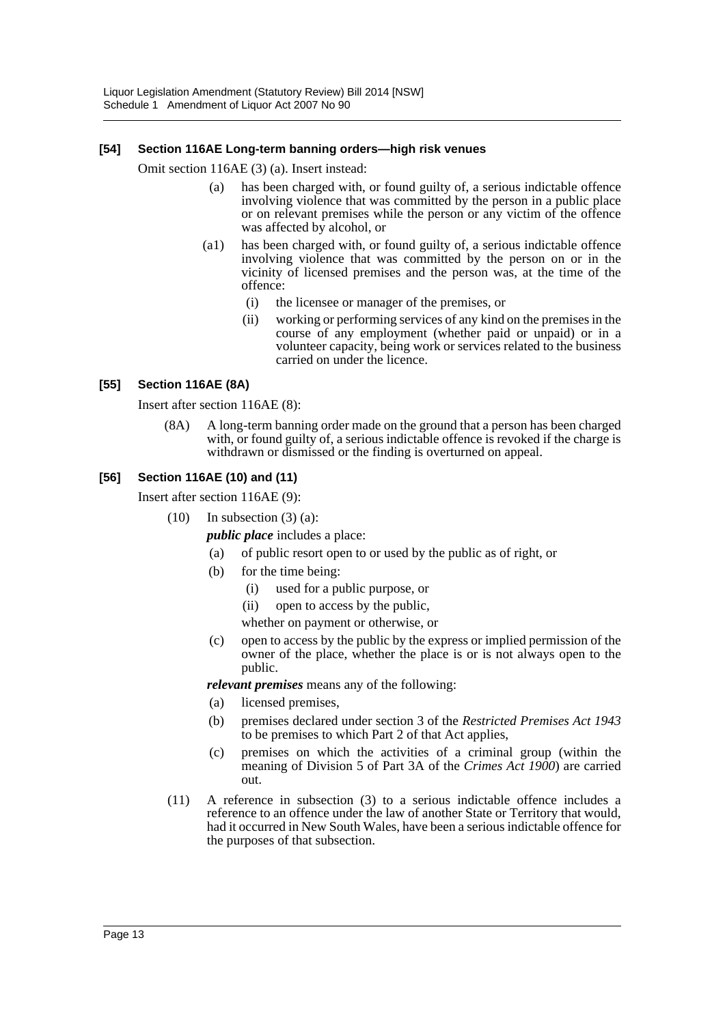#### **[54] Section 116AE Long-term banning orders—high risk venues**

Omit section 116AE (3) (a). Insert instead:

- (a) has been charged with, or found guilty of, a serious indictable offence involving violence that was committed by the person in a public place or on relevant premises while the person or any victim of the offence was affected by alcohol, or
- (a1) has been charged with, or found guilty of, a serious indictable offence involving violence that was committed by the person on or in the vicinity of licensed premises and the person was, at the time of the offence:
	- (i) the licensee or manager of the premises, or
	- (ii) working or performing services of any kind on the premises in the course of any employment (whether paid or unpaid) or in a volunteer capacity, being work or services related to the business carried on under the licence.

#### **[55] Section 116AE (8A)**

Insert after section 116AE (8):

(8A) A long-term banning order made on the ground that a person has been charged with, or found guilty of, a serious indictable offence is revoked if the charge is withdrawn or dismissed or the finding is overturned on appeal.

#### **[56] Section 116AE (10) and (11)**

Insert after section 116AE (9):

 $(10)$  In subsection  $(3)$   $(a)$ :

*public place* includes a place:

- (a) of public resort open to or used by the public as of right, or
- (b) for the time being:
	- (i) used for a public purpose, or
	- (ii) open to access by the public,

whether on payment or otherwise, or

(c) open to access by the public by the express or implied permission of the owner of the place, whether the place is or is not always open to the public.

*relevant premises* means any of the following:

- (a) licensed premises,
- (b) premises declared under section 3 of the *Restricted Premises Act 1943* to be premises to which Part 2 of that Act applies,
- (c) premises on which the activities of a criminal group (within the meaning of Division 5 of Part 3A of the *Crimes Act 1900*) are carried out.
- (11) A reference in subsection (3) to a serious indictable offence includes a reference to an offence under the law of another State or Territory that would, had it occurred in New South Wales, have been a serious indictable offence for the purposes of that subsection.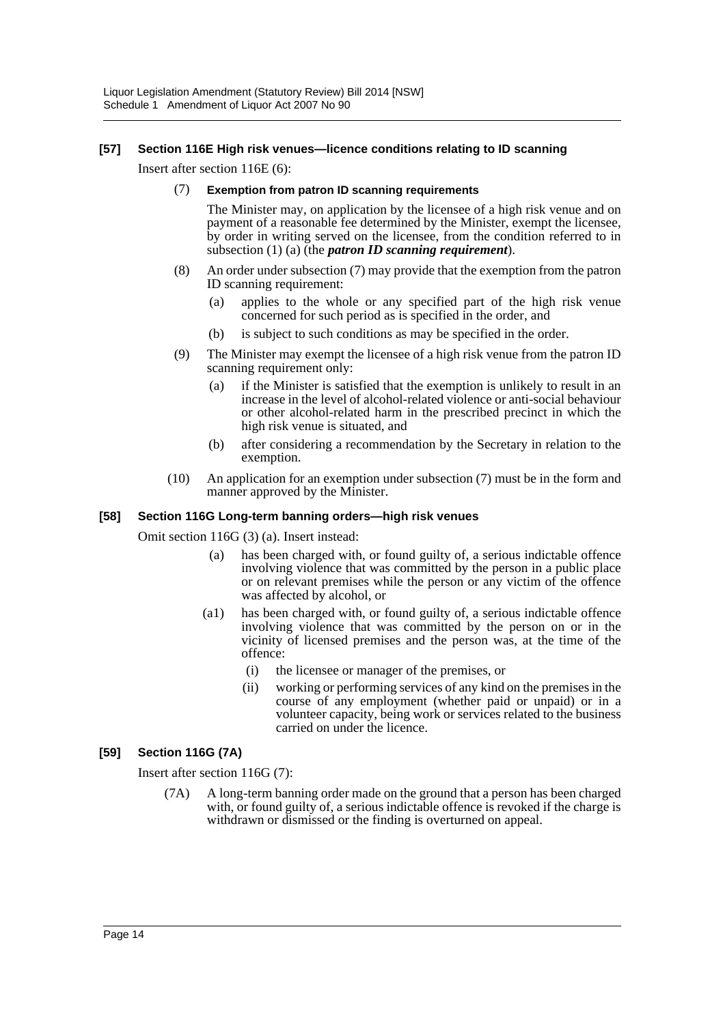### **[57] Section 116E High risk venues—licence conditions relating to ID scanning**

Insert after section 116E (6):

(7) **Exemption from patron ID scanning requirements**

The Minister may, on application by the licensee of a high risk venue and on payment of a reasonable fee determined by the Minister, exempt the licensee, by order in writing served on the licensee, from the condition referred to in subsection (1) (a) (the *patron ID scanning requirement*).

- (8) An order under subsection (7) may provide that the exemption from the patron ID scanning requirement:
	- (a) applies to the whole or any specified part of the high risk venue concerned for such period as is specified in the order, and
	- (b) is subject to such conditions as may be specified in the order.
- (9) The Minister may exempt the licensee of a high risk venue from the patron ID scanning requirement only:
	- (a) if the Minister is satisfied that the exemption is unlikely to result in an increase in the level of alcohol-related violence or anti-social behaviour or other alcohol-related harm in the prescribed precinct in which the high risk venue is situated, and
	- (b) after considering a recommendation by the Secretary in relation to the exemption.
- (10) An application for an exemption under subsection (7) must be in the form and manner approved by the Minister.

#### **[58] Section 116G Long-term banning orders—high risk venues**

Omit section 116G (3) (a). Insert instead:

- (a) has been charged with, or found guilty of, a serious indictable offence involving violence that was committed by the person in a public place or on relevant premises while the person or any victim of the offence was affected by alcohol, or
- (a1) has been charged with, or found guilty of, a serious indictable offence involving violence that was committed by the person on or in the vicinity of licensed premises and the person was, at the time of the offence:
	- (i) the licensee or manager of the premises, or
	- (ii) working or performing services of any kind on the premises in the course of any employment (whether paid or unpaid) or in a volunteer capacity, being work or services related to the business carried on under the licence.

### **[59] Section 116G (7A)**

Insert after section 116G (7):

(7A) A long-term banning order made on the ground that a person has been charged with, or found guilty of, a serious indictable offence is revoked if the charge is withdrawn or dismissed or the finding is overturned on appeal.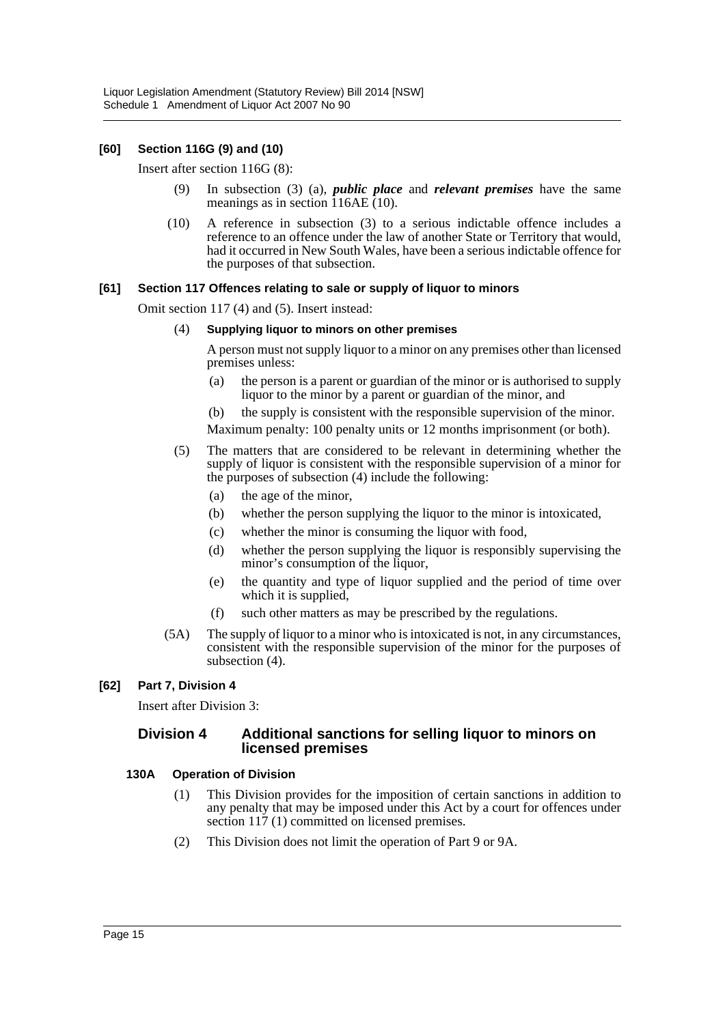# **[60] Section 116G (9) and (10)**

Insert after section 116G (8):

- (9) In subsection (3) (a), *public place* and *relevant premises* have the same meanings as in section 116AE (10).
- (10) A reference in subsection (3) to a serious indictable offence includes a reference to an offence under the law of another State or Territory that would, had it occurred in New South Wales, have been a serious indictable offence for the purposes of that subsection.

#### **[61] Section 117 Offences relating to sale or supply of liquor to minors**

Omit section 117 (4) and (5). Insert instead:

#### (4) **Supplying liquor to minors on other premises**

A person must not supply liquor to a minor on any premises other than licensed premises unless:

- (a) the person is a parent or guardian of the minor or is authorised to supply liquor to the minor by a parent or guardian of the minor, and
- (b) the supply is consistent with the responsible supervision of the minor.

Maximum penalty: 100 penalty units or 12 months imprisonment (or both).

- (5) The matters that are considered to be relevant in determining whether the supply of liquor is consistent with the responsible supervision of a minor for the purposes of subsection (4) include the following:
	- (a) the age of the minor,
	- (b) whether the person supplying the liquor to the minor is intoxicated,
	- (c) whether the minor is consuming the liquor with food,
	- (d) whether the person supplying the liquor is responsibly supervising the minor's consumption of the liquor,
	- (e) the quantity and type of liquor supplied and the period of time over which it is supplied,
	- (f) such other matters as may be prescribed by the regulations.
- (5A) The supply of liquor to a minor who is intoxicated is not, in any circumstances, consistent with the responsible supervision of the minor for the purposes of subsection (4).

# **[62] Part 7, Division 4**

Insert after Division 3:

# **Division 4 Additional sanctions for selling liquor to minors on licensed premises**

#### **130A Operation of Division**

- (1) This Division provides for the imposition of certain sanctions in addition to any penalty that may be imposed under this Act by a court for offences under section 117 (1) committed on licensed premises.
- (2) This Division does not limit the operation of Part 9 or 9A.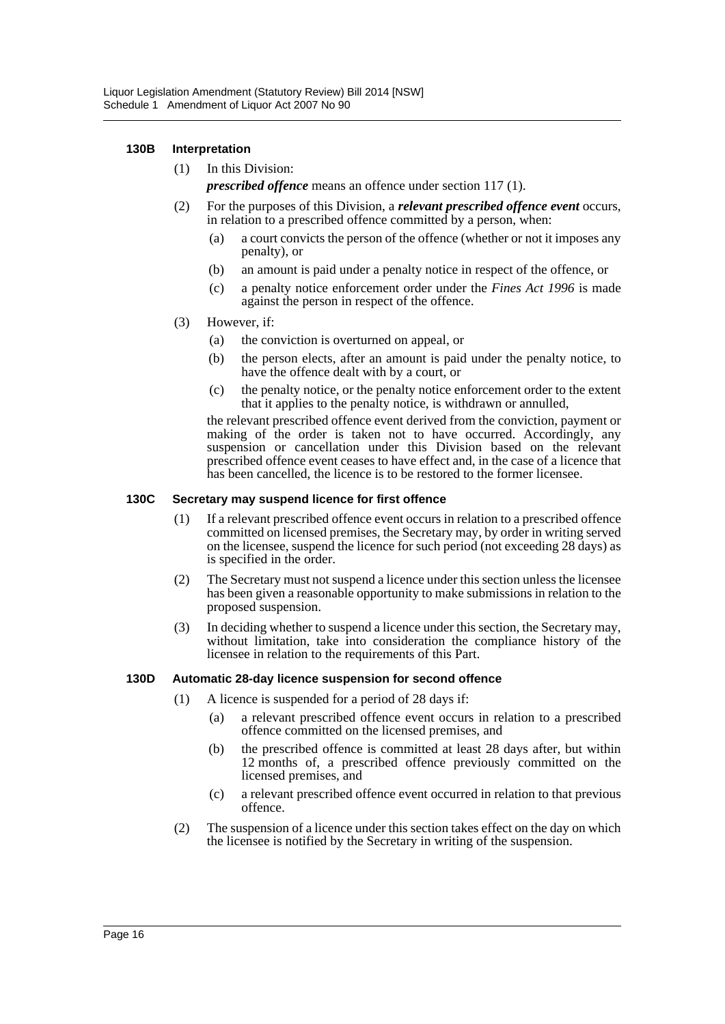#### **130B Interpretation**

- (1) In this Division: *prescribed offence* means an offence under section 117 (1).
- (2) For the purposes of this Division, a *relevant prescribed offence event* occurs, in relation to a prescribed offence committed by a person, when:
	- (a) a court convicts the person of the offence (whether or not it imposes any penalty), or
	- (b) an amount is paid under a penalty notice in respect of the offence, or
	- (c) a penalty notice enforcement order under the *Fines Act 1996* is made against the person in respect of the offence.
- (3) However, if:
	- (a) the conviction is overturned on appeal, or
	- (b) the person elects, after an amount is paid under the penalty notice, to have the offence dealt with by a court, or
	- (c) the penalty notice, or the penalty notice enforcement order to the extent that it applies to the penalty notice, is withdrawn or annulled,

the relevant prescribed offence event derived from the conviction, payment or making of the order is taken not to have occurred. Accordingly, any suspension or cancellation under this Division based on the relevant prescribed offence event ceases to have effect and, in the case of a licence that has been cancelled, the licence is to be restored to the former licensee.

#### **130C Secretary may suspend licence for first offence**

- (1) If a relevant prescribed offence event occurs in relation to a prescribed offence committed on licensed premises, the Secretary may, by order in writing served on the licensee, suspend the licence for such period (not exceeding 28 days) as is specified in the order.
- (2) The Secretary must not suspend a licence under this section unless the licensee has been given a reasonable opportunity to make submissions in relation to the proposed suspension.
- (3) In deciding whether to suspend a licence under this section, the Secretary may, without limitation, take into consideration the compliance history of the licensee in relation to the requirements of this Part.

#### **130D Automatic 28-day licence suspension for second offence**

- (1) A licence is suspended for a period of 28 days if:
	- (a) a relevant prescribed offence event occurs in relation to a prescribed offence committed on the licensed premises, and
	- (b) the prescribed offence is committed at least 28 days after, but within 12 months of, a prescribed offence previously committed on the licensed premises, and
	- (c) a relevant prescribed offence event occurred in relation to that previous offence.
- (2) The suspension of a licence under this section takes effect on the day on which the licensee is notified by the Secretary in writing of the suspension.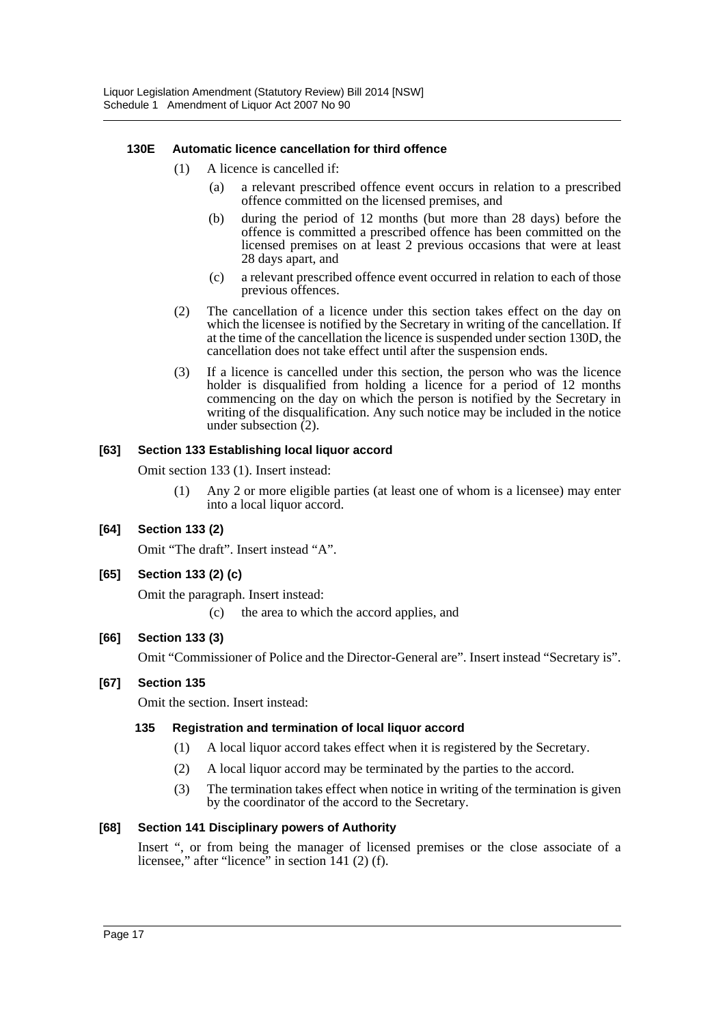# **130E Automatic licence cancellation for third offence**

- (1) A licence is cancelled if:
	- (a) a relevant prescribed offence event occurs in relation to a prescribed offence committed on the licensed premises, and
	- (b) during the period of 12 months (but more than 28 days) before the offence is committed a prescribed offence has been committed on the licensed premises on at least 2 previous occasions that were at least 28 days apart, and
	- (c) a relevant prescribed offence event occurred in relation to each of those previous offences.
- (2) The cancellation of a licence under this section takes effect on the day on which the licensee is notified by the Secretary in writing of the cancellation. If at the time of the cancellation the licence is suspended under section 130D, the cancellation does not take effect until after the suspension ends.
- (3) If a licence is cancelled under this section, the person who was the licence holder is disqualified from holding a licence for a period of 12 months commencing on the day on which the person is notified by the Secretary in writing of the disqualification. Any such notice may be included in the notice under subsection  $(2)$ .

# **[63] Section 133 Establishing local liquor accord**

Omit section 133 (1). Insert instead:

(1) Any 2 or more eligible parties (at least one of whom is a licensee) may enter into a local liquor accord.

# **[64] Section 133 (2)**

Omit "The draft". Insert instead "A".

# **[65] Section 133 (2) (c)**

Omit the paragraph. Insert instead:

(c) the area to which the accord applies, and

# **[66] Section 133 (3)**

Omit "Commissioner of Police and the Director-General are". Insert instead "Secretary is".

#### **[67] Section 135**

Omit the section. Insert instead:

#### **135 Registration and termination of local liquor accord**

- (1) A local liquor accord takes effect when it is registered by the Secretary.
- (2) A local liquor accord may be terminated by the parties to the accord.
- (3) The termination takes effect when notice in writing of the termination is given by the coordinator of the accord to the Secretary.

# **[68] Section 141 Disciplinary powers of Authority**

Insert ", or from being the manager of licensed premises or the close associate of a licensee," after "licence" in section 141 (2) (f).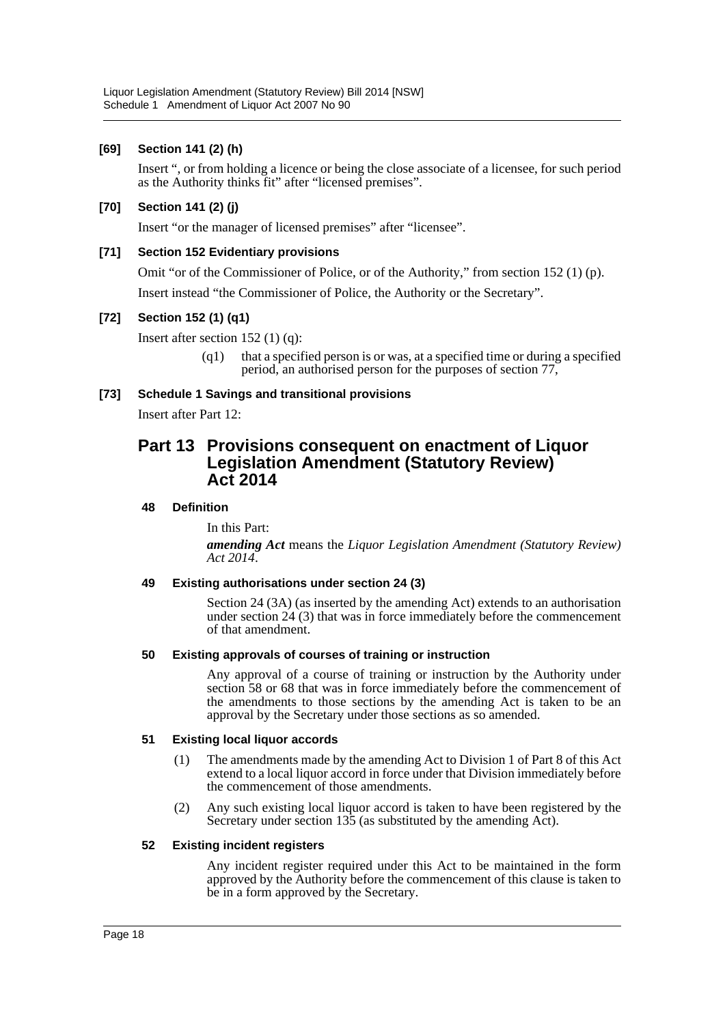# **[69] Section 141 (2) (h)**

Insert ", or from holding a licence or being the close associate of a licensee, for such period as the Authority thinks fit" after "licensed premises".

# **[70] Section 141 (2) (j)**

Insert "or the manager of licensed premises" after "licensee".

# **[71] Section 152 Evidentiary provisions**

Omit "or of the Commissioner of Police, or of the Authority," from section 152 (1) (p).

Insert instead "the Commissioner of Police, the Authority or the Secretary".

# **[72] Section 152 (1) (q1)**

Insert after section 152 (1) (q):

(q1) that a specified person is or was, at a specified time or during a specified period, an authorised person for the purposes of section 77,

# **[73] Schedule 1 Savings and transitional provisions**

Insert after Part 12:

# **Part 13 Provisions consequent on enactment of Liquor Legislation Amendment (Statutory Review) Act 2014**

### **48 Definition**

In this Part:

*amending Act* means the *Liquor Legislation Amendment (Statutory Review) Act 2014*.

#### **49 Existing authorisations under section 24 (3)**

Section 24 (3A) (as inserted by the amending Act) extends to an authorisation under section 24 (3) that was in force immediately before the commencement of that amendment.

#### **50 Existing approvals of courses of training or instruction**

Any approval of a course of training or instruction by the Authority under section 58 or 68 that was in force immediately before the commencement of the amendments to those sections by the amending Act is taken to be an approval by the Secretary under those sections as so amended.

#### **51 Existing local liquor accords**

- (1) The amendments made by the amending Act to Division 1 of Part 8 of this Act extend to a local liquor accord in force under that Division immediately before the commencement of those amendments.
- (2) Any such existing local liquor accord is taken to have been registered by the Secretary under section 135 (as substituted by the amending Act).

#### **52 Existing incident registers**

Any incident register required under this Act to be maintained in the form approved by the Authority before the commencement of this clause is taken to be in a form approved by the Secretary.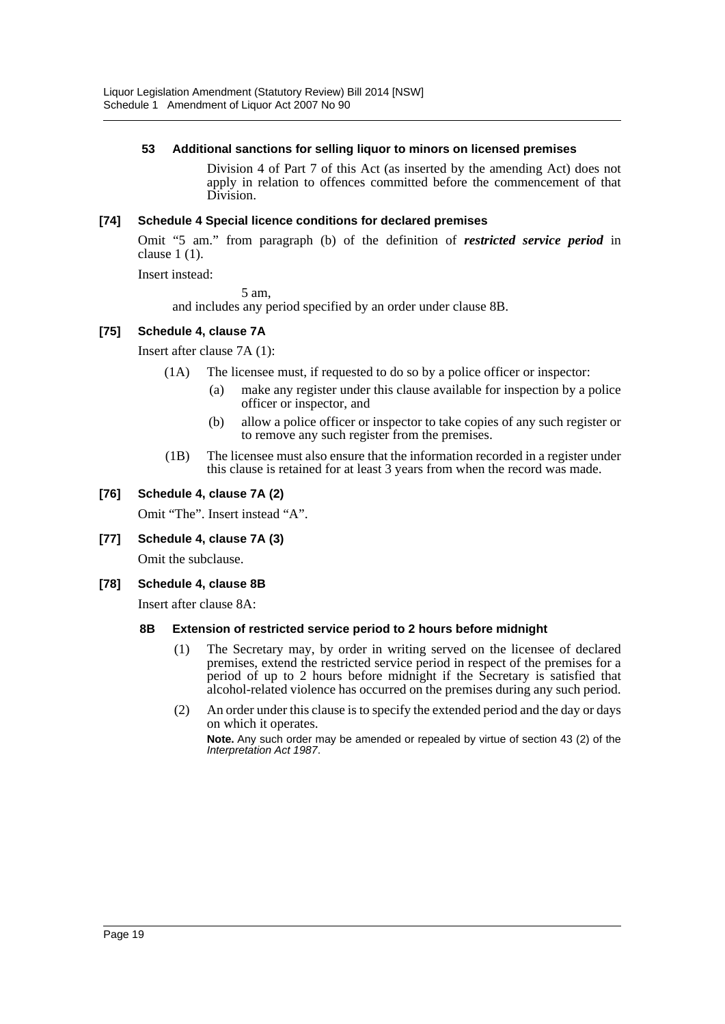#### **53 Additional sanctions for selling liquor to minors on licensed premises**

Division 4 of Part 7 of this Act (as inserted by the amending Act) does not apply in relation to offences committed before the commencement of that Division.

# **[74] Schedule 4 Special licence conditions for declared premises**

Omit "5 am." from paragraph (b) of the definition of *restricted service period* in clause 1 (1).

Insert instead:

5 am,

and includes any period specified by an order under clause 8B.

# **[75] Schedule 4, clause 7A**

Insert after clause 7A (1):

- (1A) The licensee must, if requested to do so by a police officer or inspector:
	- (a) make any register under this clause available for inspection by a police officer or inspector, and
	- (b) allow a police officer or inspector to take copies of any such register or to remove any such register from the premises.
- (1B) The licensee must also ensure that the information recorded in a register under this clause is retained for at least 3 years from when the record was made.

# **[76] Schedule 4, clause 7A (2)**

Omit "The". Insert instead "A".

#### **[77] Schedule 4, clause 7A (3)**

Omit the subclause.

#### **[78] Schedule 4, clause 8B**

Insert after clause 8A:

#### **8B Extension of restricted service period to 2 hours before midnight**

- (1) The Secretary may, by order in writing served on the licensee of declared premises, extend the restricted service period in respect of the premises for a period of up to 2 hours before midnight if the Secretary is satisfied that alcohol-related violence has occurred on the premises during any such period.
- (2) An order under this clause is to specify the extended period and the day or days on which it operates.

**Note.** Any such order may be amended or repealed by virtue of section 43 (2) of the *Interpretation Act 1987*.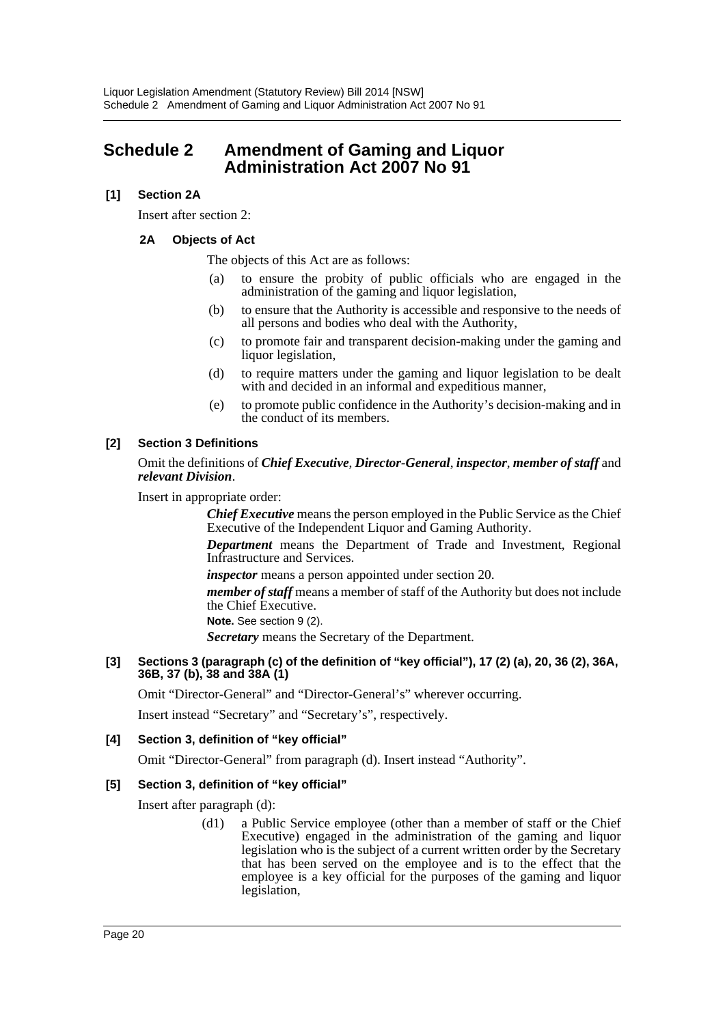# <span id="page-20-0"></span>**Schedule 2 Amendment of Gaming and Liquor Administration Act 2007 No 91**

# **[1] Section 2A**

Insert after section 2:

# **2A Objects of Act**

The objects of this Act are as follows:

- (a) to ensure the probity of public officials who are engaged in the administration of the gaming and liquor legislation,
- (b) to ensure that the Authority is accessible and responsive to the needs of all persons and bodies who deal with the Authority,
- (c) to promote fair and transparent decision-making under the gaming and liquor legislation,
- (d) to require matters under the gaming and liquor legislation to be dealt with and decided in an informal and expeditious manner,
- (e) to promote public confidence in the Authority's decision-making and in the conduct of its members.

# **[2] Section 3 Definitions**

### Omit the definitions of *Chief Executive*, *Director-General*, *inspector*, *member of staff* and *relevant Division*.

Insert in appropriate order:

*Chief Executive* means the person employed in the Public Service as the Chief Executive of the Independent Liquor and Gaming Authority.

*Department* means the Department of Trade and Investment, Regional Infrastructure and Services.

*inspector* means a person appointed under section 20.

*member of staff* means a member of staff of the Authority but does not include the Chief Executive.

**Note.** See section 9 (2).

*Secretary* means the Secretary of the Department.

#### **[3] Sections 3 (paragraph (c) of the definition of "key official"), 17 (2) (a), 20, 36 (2), 36A, 36B, 37 (b), 38 and 38A (1)**

Omit "Director-General" and "Director-General's" wherever occurring.

Insert instead "Secretary" and "Secretary's", respectively.

# **[4] Section 3, definition of "key official"**

Omit "Director-General" from paragraph (d). Insert instead "Authority".

# **[5] Section 3, definition of "key official"**

Insert after paragraph (d):

(d1) a Public Service employee (other than a member of staff or the Chief Executive) engaged in the administration of the gaming and liquor legislation who is the subject of a current written order by the Secretary that has been served on the employee and is to the effect that the employee is a key official for the purposes of the gaming and liquor legislation,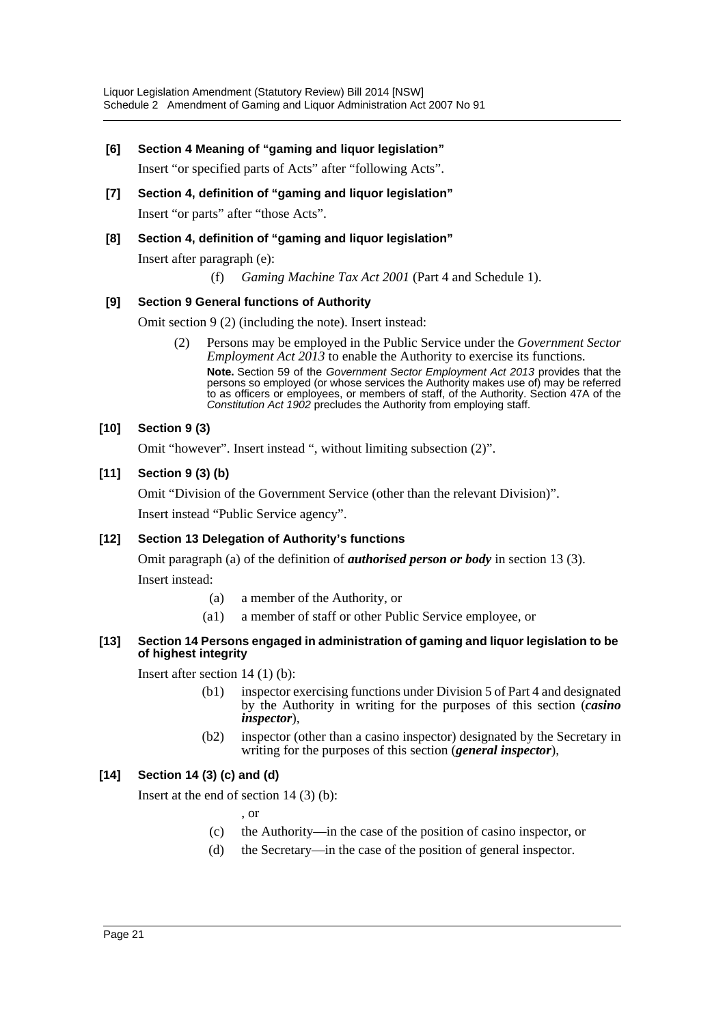### **[6] Section 4 Meaning of "gaming and liquor legislation"**

Insert "or specified parts of Acts" after "following Acts".

**[7] Section 4, definition of "gaming and liquor legislation"** Insert "or parts" after "those Acts".

# **[8] Section 4, definition of "gaming and liquor legislation"**

Insert after paragraph (e):

(f) *Gaming Machine Tax Act 2001* (Part 4 and Schedule 1).

### **[9] Section 9 General functions of Authority**

Omit section 9 (2) (including the note). Insert instead:

(2) Persons may be employed in the Public Service under the *Government Sector Employment Act 2013* to enable the Authority to exercise its functions. **Note.** Section 59 of the *Government Sector Employment Act 2013* provides that the persons so employed (or whose services the Authority makes use of) may be referred to as officers or employees, or members of staff, of the Authority. Section 47A of the *Constitution Act 1902* precludes the Authority from employing staff.

### **[10] Section 9 (3)**

Omit "however". Insert instead ", without limiting subsection (2)".

### **[11] Section 9 (3) (b)**

Omit "Division of the Government Service (other than the relevant Division)".

Insert instead "Public Service agency".

#### **[12] Section 13 Delegation of Authority's functions**

Omit paragraph (a) of the definition of *authorised person or body* in section 13 (3).

Insert instead:

- (a) a member of the Authority, or
- (a1) a member of staff or other Public Service employee, or

#### **[13] Section 14 Persons engaged in administration of gaming and liquor legislation to be of highest integrity**

Insert after section 14 (1) (b):

- (b1) inspector exercising functions under Division 5 of Part 4 and designated by the Authority in writing for the purposes of this section (*casino inspector*),
- (b2) inspector (other than a casino inspector) designated by the Secretary in writing for the purposes of this section (*general inspector*),

# **[14] Section 14 (3) (c) and (d)**

Insert at the end of section 14 (3) (b):

, or

- (c) the Authority—in the case of the position of casino inspector, or
- (d) the Secretary—in the case of the position of general inspector.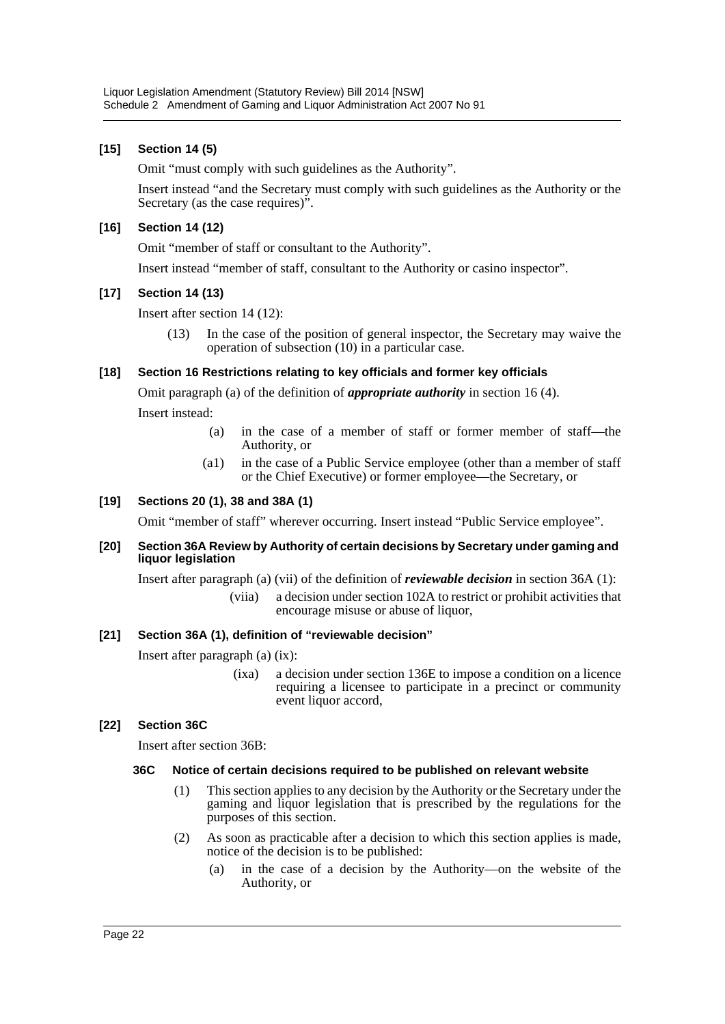# **[15] Section 14 (5)**

Omit "must comply with such guidelines as the Authority".

Insert instead "and the Secretary must comply with such guidelines as the Authority or the Secretary (as the case requires)".

### **[16] Section 14 (12)**

Omit "member of staff or consultant to the Authority".

Insert instead "member of staff, consultant to the Authority or casino inspector".

### **[17] Section 14 (13)**

Insert after section 14 (12):

(13) In the case of the position of general inspector, the Secretary may waive the operation of subsection (10) in a particular case.

### **[18] Section 16 Restrictions relating to key officials and former key officials**

Omit paragraph (a) of the definition of *appropriate authority* in section 16 (4).

Insert instead:

- (a) in the case of a member of staff or former member of staff—the Authority, or
- (a1) in the case of a Public Service employee (other than a member of staff or the Chief Executive) or former employee—the Secretary, or

# **[19] Sections 20 (1), 38 and 38A (1)**

Omit "member of staff" wherever occurring. Insert instead "Public Service employee".

#### **[20] Section 36A Review by Authority of certain decisions by Secretary under gaming and liquor legislation**

Insert after paragraph (a) (vii) of the definition of *reviewable decision* in section 36A (1):

(viia) a decision under section 102A to restrict or prohibit activities that encourage misuse or abuse of liquor,

# **[21] Section 36A (1), definition of "reviewable decision"**

Insert after paragraph (a) (ix):

(ixa) a decision under section 136E to impose a condition on a licence requiring a licensee to participate in a precinct or community event liquor accord,

# **[22] Section 36C**

Insert after section 36B:

#### **36C Notice of certain decisions required to be published on relevant website**

- (1) This section applies to any decision by the Authority or the Secretary under the gaming and liquor legislation that is prescribed by the regulations for the purposes of this section.
- (2) As soon as practicable after a decision to which this section applies is made, notice of the decision is to be published:
	- (a) in the case of a decision by the Authority—on the website of the Authority, or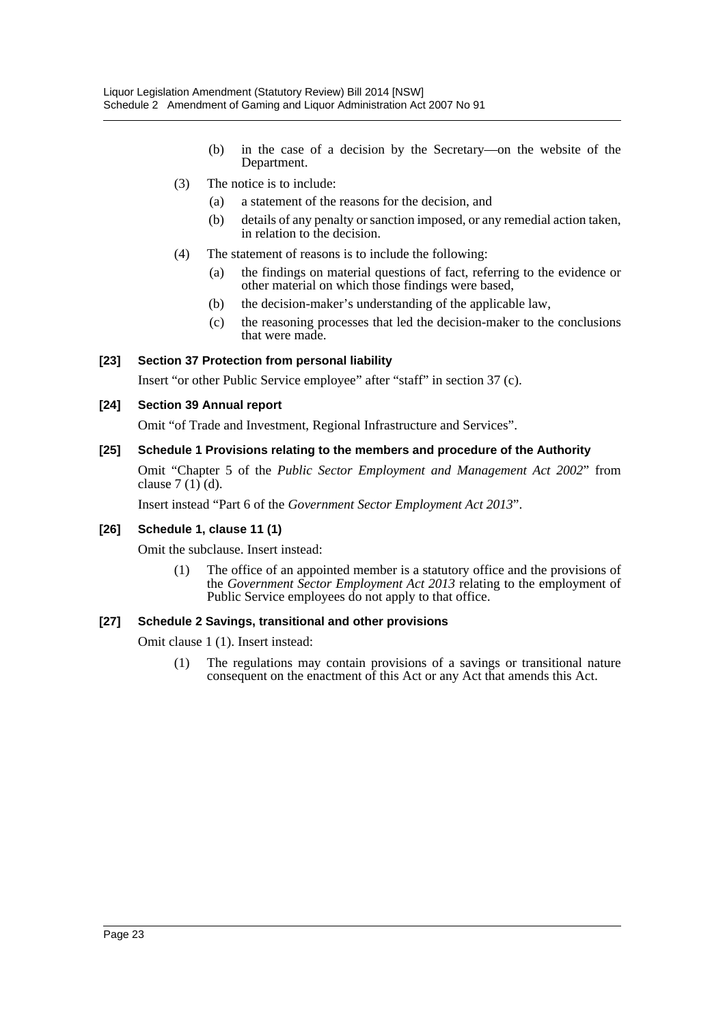- (b) in the case of a decision by the Secretary—on the website of the Department.
- (3) The notice is to include:
	- (a) a statement of the reasons for the decision, and
	- (b) details of any penalty or sanction imposed, or any remedial action taken, in relation to the decision.
- (4) The statement of reasons is to include the following:
	- (a) the findings on material questions of fact, referring to the evidence or other material on which those findings were based,
	- (b) the decision-maker's understanding of the applicable law,
	- (c) the reasoning processes that led the decision-maker to the conclusions that were made.

# **[23] Section 37 Protection from personal liability**

Insert "or other Public Service employee" after "staff" in section 37 (c).

### **[24] Section 39 Annual report**

Omit "of Trade and Investment, Regional Infrastructure and Services".

#### **[25] Schedule 1 Provisions relating to the members and procedure of the Authority**

Omit "Chapter 5 of the *Public Sector Employment and Management Act 2002*" from clause 7 (1) (d).

Insert instead "Part 6 of the *Government Sector Employment Act 2013*".

#### **[26] Schedule 1, clause 11 (1)**

Omit the subclause. Insert instead:

(1) The office of an appointed member is a statutory office and the provisions of the *Government Sector Employment Act 2013* relating to the employment of Public Service employees do not apply to that office.

# **[27] Schedule 2 Savings, transitional and other provisions**

Omit clause 1 (1). Insert instead:

(1) The regulations may contain provisions of a savings or transitional nature consequent on the enactment of this Act or any Act that amends this Act.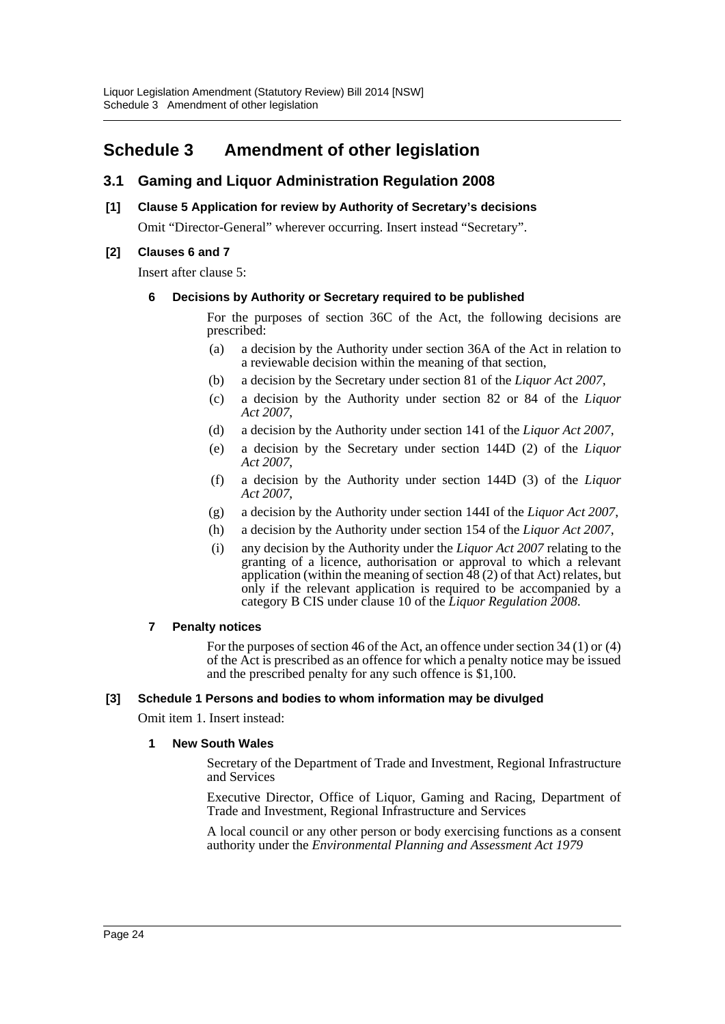# <span id="page-24-0"></span>**Schedule 3 Amendment of other legislation**

# **3.1 Gaming and Liquor Administration Regulation 2008**

# **[1] Clause 5 Application for review by Authority of Secretary's decisions**

Omit "Director-General" wherever occurring. Insert instead "Secretary".

# **[2] Clauses 6 and 7**

Insert after clause 5:

### **6 Decisions by Authority or Secretary required to be published**

For the purposes of section 36C of the Act, the following decisions are prescribed:

- (a) a decision by the Authority under section 36A of the Act in relation to a reviewable decision within the meaning of that section,
- (b) a decision by the Secretary under section 81 of the *Liquor Act 2007*,
- (c) a decision by the Authority under section 82 or 84 of the *Liquor Act 2007*,
- (d) a decision by the Authority under section 141 of the *Liquor Act 2007*,
- (e) a decision by the Secretary under section 144D (2) of the *Liquor Act 2007*,
- (f) a decision by the Authority under section 144D (3) of the *Liquor Act 2007*,
- (g) a decision by the Authority under section 144I of the *Liquor Act 2007*,
- (h) a decision by the Authority under section 154 of the *Liquor Act 2007*,
- (i) any decision by the Authority under the *Liquor Act 2007* relating to the granting of a licence, authorisation or approval to which a relevant application (within the meaning of section  $\hat{48}$  (2) of that Act) relates, but only if the relevant application is required to be accompanied by a category B CIS under clause 10 of the *Liquor Regulation 2008*.

#### **7 Penalty notices**

For the purposes of section 46 of the Act, an offence under section 34 (1) or (4) of the Act is prescribed as an offence for which a penalty notice may be issued and the prescribed penalty for any such offence is \$1,100.

#### **[3] Schedule 1 Persons and bodies to whom information may be divulged**

Omit item 1. Insert instead:

#### **1 New South Wales**

Secretary of the Department of Trade and Investment, Regional Infrastructure and Services

Executive Director, Office of Liquor, Gaming and Racing, Department of Trade and Investment, Regional Infrastructure and Services

A local council or any other person or body exercising functions as a consent authority under the *Environmental Planning and Assessment Act 1979*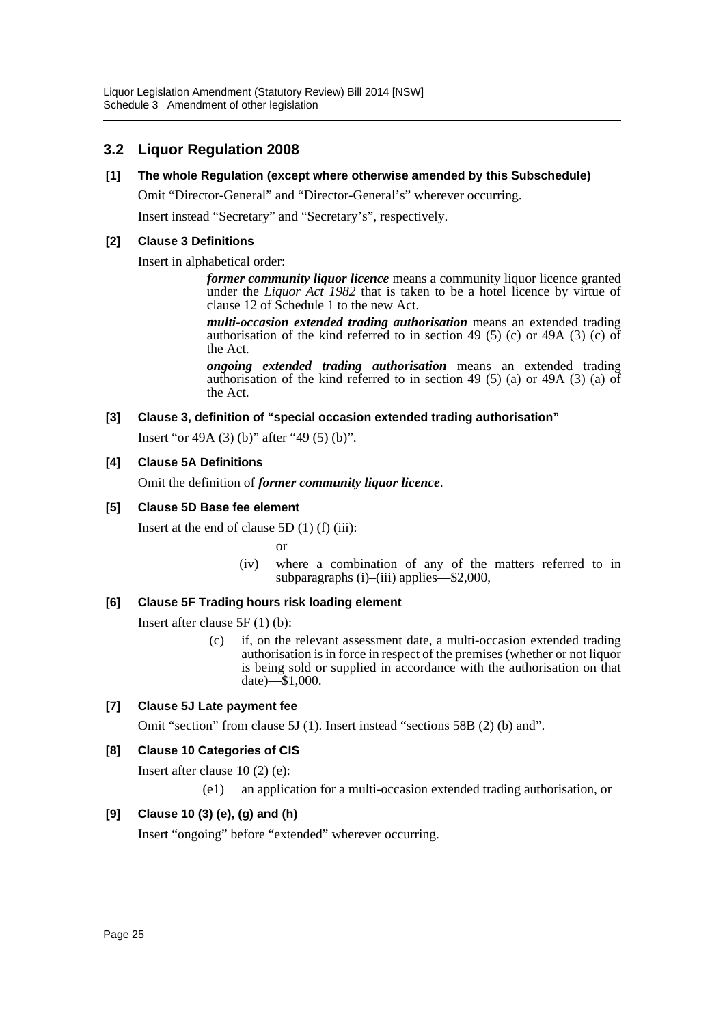# **3.2 Liquor Regulation 2008**

**[1] The whole Regulation (except where otherwise amended by this Subschedule)**

Omit "Director-General" and "Director-General's" wherever occurring.

Insert instead "Secretary" and "Secretary's", respectively.

# **[2] Clause 3 Definitions**

Insert in alphabetical order:

*former community liquor licence* means a community liquor licence granted under the *Liquor Act 1982* that is taken to be a hotel licence by virtue of clause 12 of Schedule 1 to the new Act.

*multi-occasion extended trading authorisation* means an extended trading authorisation of the kind referred to in section 49 (5) (c) or 49A (3) (c) of the Act.

*ongoing extended trading authorisation* means an extended trading authorisation of the kind referred to in section 49 (5) (a) or 49A (3) (a) of the Act.

# **[3] Clause 3, definition of "special occasion extended trading authorisation"**

Insert "or 49A (3) (b)" after "49 (5) (b)".

# **[4] Clause 5A Definitions**

Omit the definition of *former community liquor licence*.

# **[5] Clause 5D Base fee element**

Insert at the end of clause 5D (1) (f) (iii):

or

(iv) where a combination of any of the matters referred to in subparagraphs (i)–(iii) applies—\$2,000,

# **[6] Clause 5F Trading hours risk loading element**

Insert after clause 5F (1) (b):

(c) if, on the relevant assessment date, a multi-occasion extended trading authorisation is in force in respect of the premises (whether or not liquor is being sold or supplied in accordance with the authorisation on that date)—\$1,000.

# **[7] Clause 5J Late payment fee**

Omit "section" from clause 5J (1). Insert instead "sections 58B (2) (b) and".

# **[8] Clause 10 Categories of CIS**

Insert after clause 10 (2) (e):

(e1) an application for a multi-occasion extended trading authorisation, or

# **[9] Clause 10 (3) (e), (g) and (h)**

Insert "ongoing" before "extended" wherever occurring.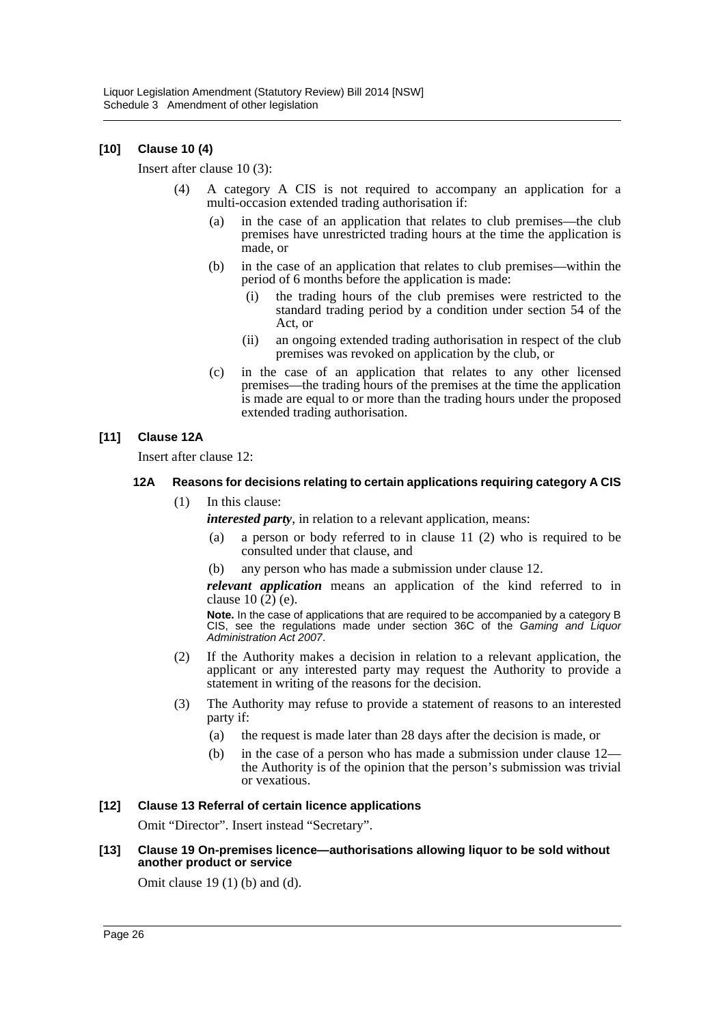### **[10] Clause 10 (4)**

Insert after clause 10 (3):

- (4) A category A CIS is not required to accompany an application for a multi-occasion extended trading authorisation if:
	- (a) in the case of an application that relates to club premises—the club premises have unrestricted trading hours at the time the application is made, or
	- (b) in the case of an application that relates to club premises—within the period of 6 months before the application is made:
		- (i) the trading hours of the club premises were restricted to the standard trading period by a condition under section 54 of the Act, or
		- (ii) an ongoing extended trading authorisation in respect of the club premises was revoked on application by the club, or
	- (c) in the case of an application that relates to any other licensed premises—the trading hours of the premises at the time the application is made are equal to or more than the trading hours under the proposed extended trading authorisation.

### **[11] Clause 12A**

Insert after clause 12:

#### **12A Reasons for decisions relating to certain applications requiring category A CIS**

(1) In this clause:

*interested party*, in relation to a relevant application, means:

- (a) a person or body referred to in clause 11 (2) who is required to be consulted under that clause, and
- any person who has made a submission under clause 12.

*relevant application* means an application of the kind referred to in clause 10 (2) (e).

**Note.** In the case of applications that are required to be accompanied by a category B CIS, see the regulations made under section 36C of the *Gaming and Liquor Administration Act 2007*.

- (2) If the Authority makes a decision in relation to a relevant application, the applicant or any interested party may request the Authority to provide a statement in writing of the reasons for the decision.
- (3) The Authority may refuse to provide a statement of reasons to an interested party if:
	- (a) the request is made later than 28 days after the decision is made, or
	- (b) in the case of a person who has made a submission under clause 12 the Authority is of the opinion that the person's submission was trivial or vexatious.

#### **[12] Clause 13 Referral of certain licence applications**

Omit "Director". Insert instead "Secretary".

#### **[13] Clause 19 On-premises licence—authorisations allowing liquor to be sold without another product or service**

Omit clause 19 (1) (b) and (d).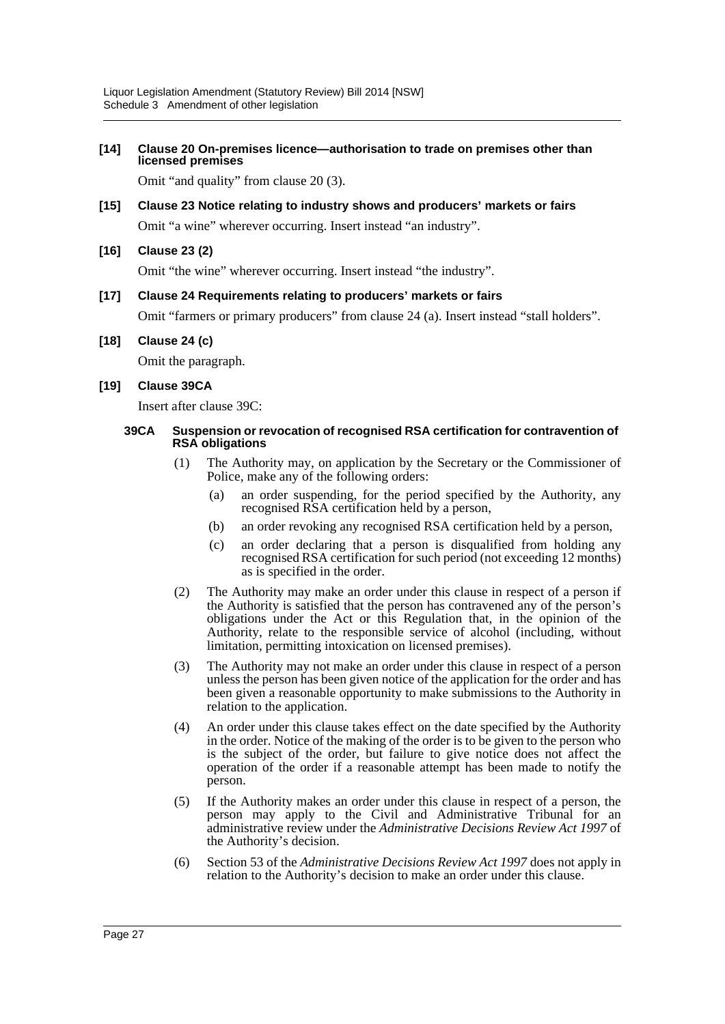### **[14] Clause 20 On-premises licence—authorisation to trade on premises other than licensed premises**

Omit "and quality" from clause 20 (3).

# **[15] Clause 23 Notice relating to industry shows and producers' markets or fairs**

Omit "a wine" wherever occurring. Insert instead "an industry".

# **[16] Clause 23 (2)**

Omit "the wine" wherever occurring. Insert instead "the industry".

### **[17] Clause 24 Requirements relating to producers' markets or fairs**

Omit "farmers or primary producers" from clause 24 (a). Insert instead "stall holders".

#### **[18] Clause 24 (c)**

Omit the paragraph.

#### **[19] Clause 39CA**

Insert after clause 39C:

#### **39CA Suspension or revocation of recognised RSA certification for contravention of RSA obligations**

- (1) The Authority may, on application by the Secretary or the Commissioner of Police, make any of the following orders:
	- (a) an order suspending, for the period specified by the Authority, any recognised RSA certification held by a person,
	- (b) an order revoking any recognised RSA certification held by a person,
	- (c) an order declaring that a person is disqualified from holding any recognised RSA certification for such period (not exceeding 12 months) as is specified in the order.
- (2) The Authority may make an order under this clause in respect of a person if the Authority is satisfied that the person has contravened any of the person's obligations under the Act or this Regulation that, in the opinion of the Authority, relate to the responsible service of alcohol (including, without limitation, permitting intoxication on licensed premises).
- (3) The Authority may not make an order under this clause in respect of a person unless the person has been given notice of the application for the order and has been given a reasonable opportunity to make submissions to the Authority in relation to the application.
- (4) An order under this clause takes effect on the date specified by the Authority in the order. Notice of the making of the order is to be given to the person who is the subject of the order, but failure to give notice does not affect the operation of the order if a reasonable attempt has been made to notify the person.
- (5) If the Authority makes an order under this clause in respect of a person, the person may apply to the Civil and Administrative Tribunal for an administrative review under the *Administrative Decisions Review Act 1997* of the Authority's decision.
- (6) Section 53 of the *Administrative Decisions Review Act 1997* does not apply in relation to the Authority's decision to make an order under this clause.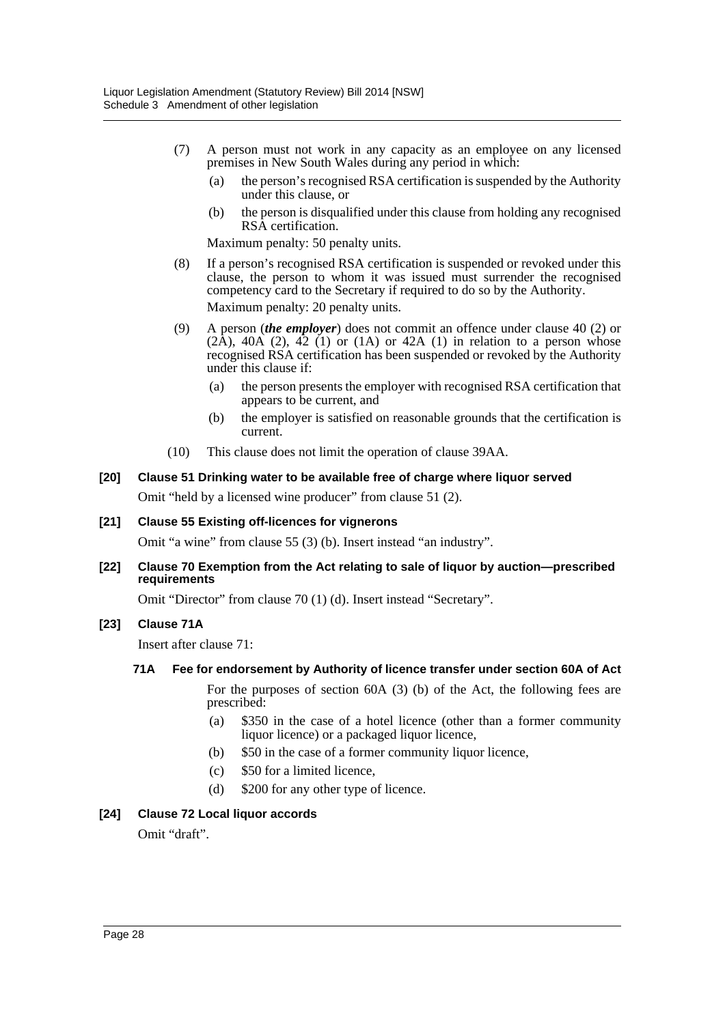- (7) A person must not work in any capacity as an employee on any licensed premises in New South Wales during any period in which:
	- (a) the person's recognised RSA certification is suspended by the Authority under this clause, or
	- (b) the person is disqualified under this clause from holding any recognised RSA certification.

Maximum penalty: 50 penalty units.

- (8) If a person's recognised RSA certification is suspended or revoked under this clause, the person to whom it was issued must surrender the recognised competency card to the Secretary if required to do so by the Authority. Maximum penalty: 20 penalty units.
- (9) A person (*the employer*) does not commit an offence under clause 40 (2) or  $(2\text{\AA})$ ,  $40\text{\AA}$   $(2)$ ,  $42$   $(1)$  or  $(1\text{\AA})$  or  $42\text{\AA}$   $(1)$  in relation to a person whose recognised RSA certification has been suspended or revoked by the Authority under this clause if:
	- (a) the person presents the employer with recognised RSA certification that appears to be current, and
	- (b) the employer is satisfied on reasonable grounds that the certification is current.
- (10) This clause does not limit the operation of clause 39AA.

# **[20] Clause 51 Drinking water to be available free of charge where liquor served** Omit "held by a licensed wine producer" from clause 51 (2).

#### **[21] Clause 55 Existing off-licences for vignerons**

Omit "a wine" from clause 55 (3) (b). Insert instead "an industry".

#### **[22] Clause 70 Exemption from the Act relating to sale of liquor by auction—prescribed requirements**

Omit "Director" from clause 70 (1) (d). Insert instead "Secretary".

#### **[23] Clause 71A**

Insert after clause 71:

#### **71A Fee for endorsement by Authority of licence transfer under section 60A of Act**

For the purposes of section 60A (3) (b) of the Act, the following fees are prescribed:

- (a) \$350 in the case of a hotel licence (other than a former community liquor licence) or a packaged liquor licence,
- (b) \$50 in the case of a former community liquor licence,
- (c) \$50 for a limited licence,
- (d) \$200 for any other type of licence.

#### **[24] Clause 72 Local liquor accords**

Omit "draft".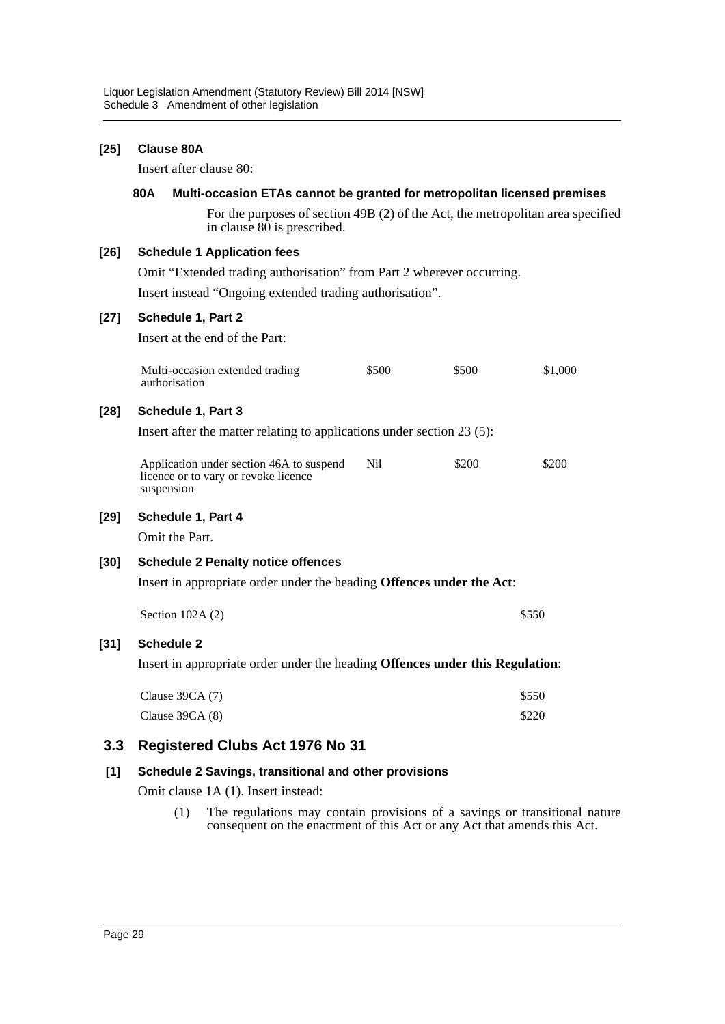#### **[25] Clause 80A**

Insert after clause 80:

#### **80A Multi-occasion ETAs cannot be granted for metropolitan licensed premises**

For the purposes of section 49B (2) of the Act, the metropolitan area specified in clause 80 is prescribed.

#### **[26] Schedule 1 Application fees**

Omit "Extended trading authorisation" from Part 2 wherever occurring.

Insert instead "Ongoing extended trading authorisation".

#### **[27] Schedule 1, Part 2**

Insert at the end of the Part:

| Multi-occasion extended trading | \$500 | \$500 | \$1,000 |
|---------------------------------|-------|-------|---------|
| authorisation                   |       |       |         |

#### **[28] Schedule 1, Part 3**

Insert after the matter relating to applications under section 23 (5):

| Application under section 46A to suspend | \$200 | \$200 |
|------------------------------------------|-------|-------|
| licence or to vary or revoke licence     |       |       |
| suspension                               |       |       |

#### **[29] Schedule 1, Part 4**

Omit the Part.

#### **[30] Schedule 2 Penalty notice offences**

Insert in appropriate order under the heading **Offences under the Act**:

| Section $102A(2)$ | \$550 |
|-------------------|-------|
|-------------------|-------|

#### **[31] Schedule 2**

Insert in appropriate order under the heading **Offences under this Regulation**:

| Clause 39CA $(7)$ | \$550 |
|-------------------|-------|
| Clause $39CA(8)$  | \$220 |

# **3.3 Registered Clubs Act 1976 No 31**

#### **[1] Schedule 2 Savings, transitional and other provisions**

Omit clause 1A (1). Insert instead:

(1) The regulations may contain provisions of a savings or transitional nature consequent on the enactment of this Act or any Act that amends this Act.